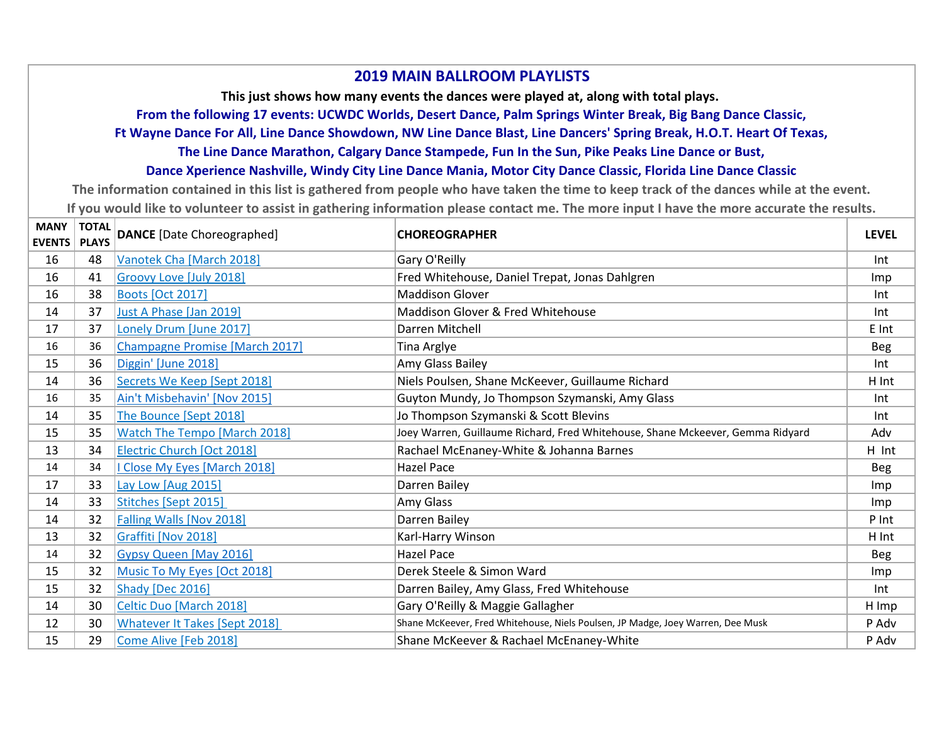## **2019 MAIN BALLROOM PLAYLISTS**

**This just shows how many events the dances were played at, along with total plays.** 

**From the following 17 events: UCWDC Worlds, Desert Dance, Palm Springs Winter Break, Big Bang Dance Classic,** 

**Ft Wayne Dance For All, Line Dance Showdown, NW Line Dance Blast, Line Dancers' Spring Break, H.O.T. Heart Of Texas,** 

**The Line Dance Marathon, Calgary Dance Stampede, Fun In the Sun, Pike Peaks Line Dance or Bust,** 

## **Dance Xperience Nashville, Windy City Line Dance Mania, Motor City Dance Classic, Florida Line Dance Classic**

**The information contained in this list is gathered from people who have taken the time to keep track of the dances while at the event. If you would like to volunteer to assist in gathering information please contact me. The more input I have the more accurate the results.**

| <b>MANY</b><br><b>EVENTS</b> | <b>TOTAL</b><br><b>PLAYS</b> | <b>DANCE</b> [Date Choreographed]   | <b>CHOREOGRAPHER</b>                                                            | <b>LEVEL</b> |
|------------------------------|------------------------------|-------------------------------------|---------------------------------------------------------------------------------|--------------|
| 16                           | 48                           | Vanotek Cha [March 2018]            | Gary O'Reilly                                                                   | Int          |
| 16                           | 41                           | Groovy Love [July 2018]             | Fred Whitehouse, Daniel Trepat, Jonas Dahlgren                                  | Imp          |
| 16                           | 38                           | <b>Boots [Oct 2017]</b>             | <b>Maddison Glover</b>                                                          | Int          |
| 14                           | 37                           | Just A Phase [Jan 2019]             | Maddison Glover & Fred Whitehouse                                               | Int          |
| 17                           | 37                           | Lonely Drum [June 2017]             | Darren Mitchell                                                                 | E Int        |
| 16                           | 36                           | Champagne Promise [March 2017]      | Tina Arglye                                                                     | <b>Beg</b>   |
| 15                           | 36                           | Diggin' [June 2018]                 | Amy Glass Bailey                                                                | Int          |
| 14                           | 36                           | Secrets We Keep [Sept 2018]         | Niels Poulsen, Shane McKeever, Guillaume Richard                                | H Int        |
| 16                           | 35                           | Ain't Misbehavin' [Nov 2015]        | Guyton Mundy, Jo Thompson Szymanski, Amy Glass                                  | Int          |
| 14                           | 35                           | The Bounce [Sept 2018]              | Jo Thompson Szymanski & Scott Blevins                                           | Int          |
| 15                           | 35                           | <b>Watch The Tempo [March 2018]</b> | Joey Warren, Guillaume Richard, Fred Whitehouse, Shane Mckeever, Gemma Ridyard  | Adv          |
| 13                           | 34                           | Electric Church [Oct 2018]          | Rachael McEnaney-White & Johanna Barnes                                         | H Int        |
| 14                           | 34                           | I Close My Eyes [March 2018]        | <b>Hazel Pace</b>                                                               | Beg          |
| 17                           | 33                           | Lay Low [Aug 2015]                  | Darren Bailey                                                                   | Imp          |
| 14                           | 33                           | Stitches [Sept 2015]                | Amy Glass                                                                       | Imp          |
| 14                           | 32                           | <b>Falling Walls [Nov 2018]</b>     | Darren Bailey                                                                   | P Int        |
| 13                           | 32                           | Graffiti [Nov 2018]                 | Karl-Harry Winson                                                               | H Int        |
| 14                           | 32                           | <b>Gypsy Queen [May 2016]</b>       | Hazel Pace                                                                      | Beg          |
| 15                           | 32                           | Music To My Eyes [Oct 2018]         | Derek Steele & Simon Ward                                                       | Imp          |
| 15                           | 32                           | Shady [Dec 2016]                    | Darren Bailey, Amy Glass, Fred Whitehouse                                       | Int          |
| 14                           | 30                           | Celtic Duo [March 2018]             | Gary O'Reilly & Maggie Gallagher                                                | H Imp        |
| 12                           | 30                           | Whatever It Takes [Sept 2018]       | Shane McKeever, Fred Whitehouse, Niels Poulsen, JP Madge, Joey Warren, Dee Musk | P Adv        |
| 15                           | 29                           | Come Alive [Feb 2018]               | Shane McKeever & Rachael McEnaney-White                                         | P Adv        |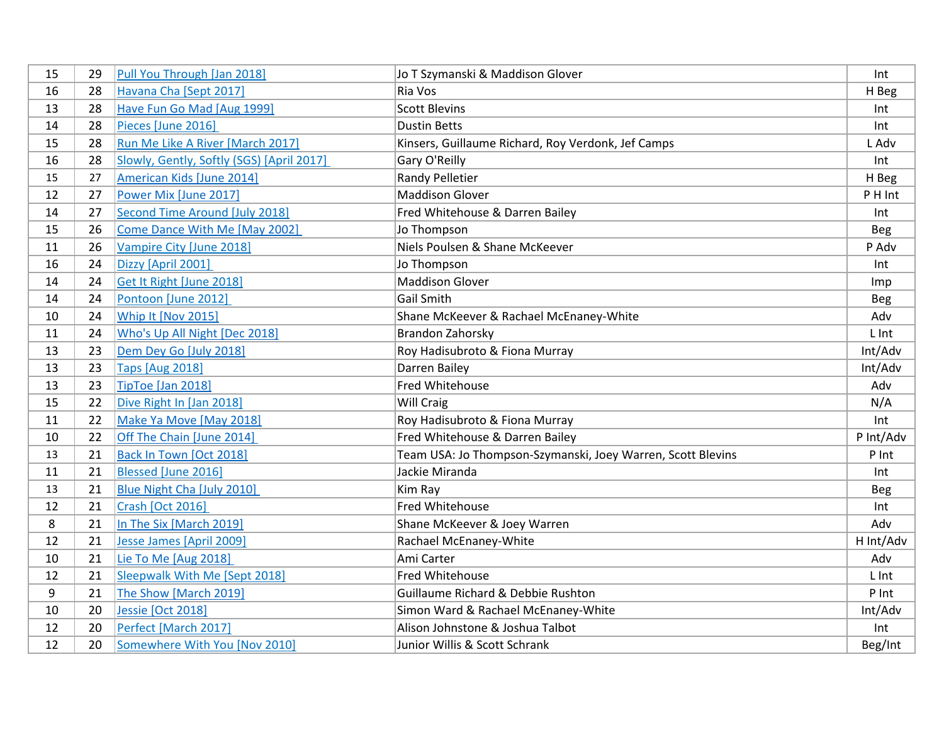| 15 | 29 | Pull You Through [Jan 2018]               | Jo T Szymanski & Maddison Glover                            | Int        |
|----|----|-------------------------------------------|-------------------------------------------------------------|------------|
| 16 | 28 | Havana Cha [Sept 2017]                    | Ria Vos                                                     | H Beg      |
| 13 | 28 | Have Fun Go Mad [Aug 1999]                | <b>Scott Blevins</b>                                        | Int        |
| 14 | 28 | Pieces [June 2016]                        | <b>Dustin Betts</b>                                         | Int        |
| 15 | 28 | Run Me Like A River [March 2017]          | Kinsers, Guillaume Richard, Roy Verdonk, Jef Camps          | L Adv      |
| 16 | 28 | Slowly, Gently, Softly (SGS) [April 2017] | Gary O'Reilly                                               | Int        |
| 15 | 27 | American Kids [June 2014]                 | Randy Pelletier                                             | H Beg      |
| 12 | 27 | Power Mix [June 2017]                     | <b>Maddison Glover</b>                                      | P H Int    |
| 14 | 27 | Second Time Around [July 2018]            | Fred Whitehouse & Darren Bailey                             | Int        |
| 15 | 26 | Come Dance With Me [May 2002]             | Jo Thompson                                                 | <b>Beg</b> |
| 11 | 26 | Vampire City [June 2018]                  | Niels Poulsen & Shane McKeever                              | P Adv      |
| 16 | 24 | Dizzy [April 2001]                        | Jo Thompson                                                 | Int        |
| 14 | 24 | Get It Right [June 2018]                  | <b>Maddison Glover</b>                                      | Imp        |
| 14 | 24 | Pontoon [June 2012]                       | Gail Smith                                                  | <b>Beg</b> |
| 10 | 24 | Whip It [Nov 2015]                        | Shane McKeever & Rachael McEnaney-White                     | Adv        |
| 11 | 24 | Who's Up All Night [Dec 2018]             | Brandon Zahorsky                                            | L Int      |
| 13 | 23 | Dem Dey Go [July 2018]                    | Roy Hadisubroto & Fiona Murray                              | Int/Adv    |
| 13 | 23 | <b>Taps [Aug 2018]</b>                    | Darren Bailey                                               | Int/Adv    |
| 13 | 23 | TipToe [Jan 2018]                         | Fred Whitehouse                                             | Adv        |
| 15 | 22 | Dive Right In [Jan 2018]                  | <b>Will Craig</b>                                           | N/A        |
| 11 | 22 | Make Ya Move [May 2018]                   | Roy Hadisubroto & Fiona Murray                              | Int        |
| 10 | 22 | Off The Chain [June 2014]                 | Fred Whitehouse & Darren Bailey                             | P Int/Adv  |
| 13 | 21 | Back In Town [Oct 2018]                   | Team USA: Jo Thompson-Szymanski, Joey Warren, Scott Blevins | P Int      |
| 11 | 21 | Blessed [June 2016]                       | Jackie Miranda                                              | Int        |
| 13 | 21 | Blue Night Cha [July 2010]                | Kim Ray                                                     | <b>Beg</b> |
| 12 | 21 | <b>Crash [Oct 2016]</b>                   | Fred Whitehouse                                             | Int        |
| 8  | 21 | In The Six [March 2019]                   | Shane McKeever & Joey Warren                                | Adv        |
| 12 | 21 | Jesse James [April 2009]                  | Rachael McEnaney-White                                      | H Int/Adv  |
| 10 | 21 | Lie To Me [Aug 2018]                      | Ami Carter                                                  | Adv        |
| 12 | 21 | Sleepwalk With Me [Sept 2018]             | Fred Whitehouse                                             | L Int      |
| 9  | 21 | The Show [March 2019]                     | Guillaume Richard & Debbie Rushton                          | P Int      |
| 10 | 20 | Jessie [Oct 2018]                         | Simon Ward & Rachael McEnaney-White                         | Int/Adv    |
| 12 | 20 | Perfect [March 2017]                      | Alison Johnstone & Joshua Talbot                            | Int        |
| 12 | 20 | Somewhere With You [Nov 2010]             | Junior Willis & Scott Schrank                               | Beg/Int    |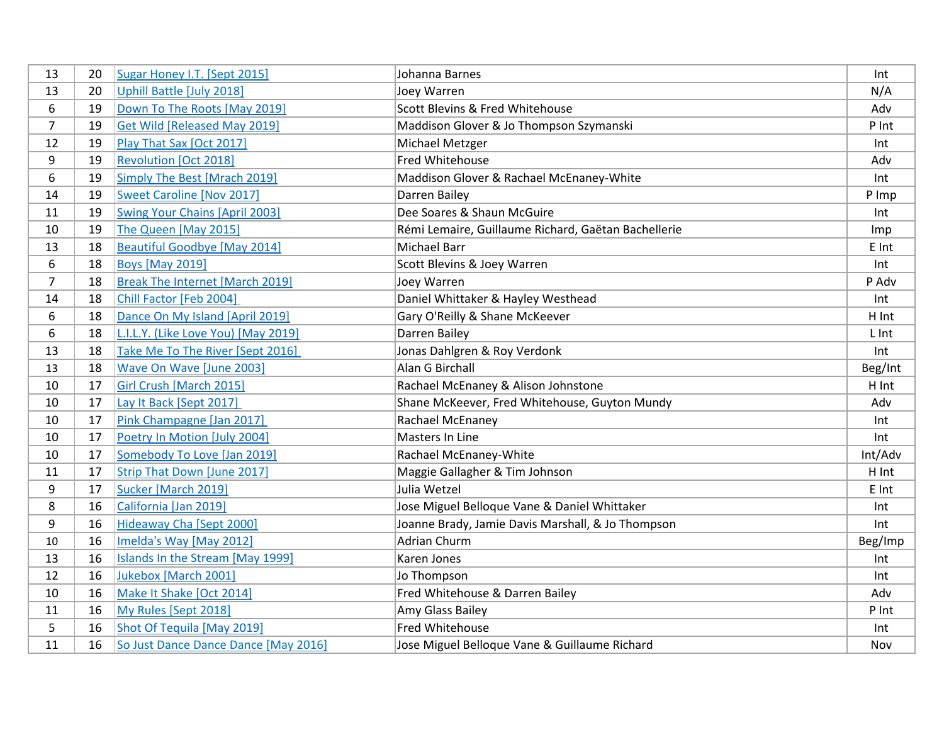| 13             | 20 | Sugar Honey I.T. [Sept 2015]           | Johanna Barnes                                      | Int     |
|----------------|----|----------------------------------------|-----------------------------------------------------|---------|
| 13             | 20 | Uphill Battle [July 2018]              | Joey Warren                                         | N/A     |
| 6              | 19 | Down To The Roots [May 2019]           | Scott Blevins & Fred Whitehouse                     | Adv     |
| $\overline{7}$ | 19 | <b>Get Wild [Released May 2019]</b>    | Maddison Glover & Jo Thompson Szymanski             | P Int   |
| 12             | 19 | Play That Sax [Oct 2017]               | Michael Metzger                                     | Int     |
| 9              | 19 | <b>Revolution [Oct 2018]</b>           | Fred Whitehouse                                     | Adv     |
| 6              | 19 | Simply The Best [Mrach 2019]           | Maddison Glover & Rachael McEnaney-White            | Int     |
| 14             | 19 | <b>Sweet Caroline [Nov 2017]</b>       | Darren Bailey                                       | P Imp   |
| 11             | 19 | <b>Swing Your Chains [April 2003]</b>  | Dee Soares & Shaun McGuire                          | Int     |
| 10             | 19 | The Queen [May 2015]                   | Rémi Lemaire, Guillaume Richard, Gaëtan Bachellerie | Imp     |
| 13             | 18 | <b>Beautiful Goodbye [May 2014]</b>    | <b>Michael Barr</b>                                 | E Int   |
| 6              | 18 | <b>Boys [May 2019]</b>                 | Scott Blevins & Joey Warren                         | Int     |
| $\overline{7}$ | 18 | <b>Break The Internet [March 2019]</b> | Joey Warren                                         | P Adv   |
| 14             | 18 | Chill Factor [Feb 2004]                | Daniel Whittaker & Hayley Westhead                  | Int     |
| 6              | 18 | Dance On My Island [April 2019]        | Gary O'Reilly & Shane McKeever                      | H Int   |
| 6              | 18 | L.I.L.Y. (Like Love You) [May 2019]    | Darren Bailey                                       | L Int   |
| 13             | 18 | Take Me To The River [Sept 2016]       | Jonas Dahlgren & Roy Verdonk                        | Int     |
| 13             | 18 | Wave On Wave [June 2003]               | Alan G Birchall                                     | Beg/Int |
| 10             | 17 | Girl Crush [March 2015]                | Rachael McEnaney & Alison Johnstone                 | H Int   |
| 10             | 17 | Lay It Back [Sept 2017]                | Shane McKeever, Fred Whitehouse, Guyton Mundy       | Adv     |
| 10             | 17 | Pink Champagne [Jan 2017]              | Rachael McEnaney                                    | Int     |
| 10             | 17 | Poetry In Motion [July 2004]           | Masters In Line                                     | Int     |
| 10             | 17 | Somebody To Love [Jan 2019]            | Rachael McEnaney-White                              | Int/Adv |
| 11             | 17 | Strip That Down [June 2017]            | Maggie Gallagher & Tim Johnson                      | H Int   |
| 9              | 17 | Sucker [March 2019]                    | Julia Wetzel                                        | E Int   |
| 8              | 16 | California [Jan 2019]                  | Jose Miguel Belloque Vane & Daniel Whittaker        | Int     |
| 9              | 16 | Hideaway Cha [Sept 2000]               | Joanne Brady, Jamie Davis Marshall, & Jo Thompson   | Int     |
| 10             | 16 | Imelda's Way [May 2012]                | <b>Adrian Churm</b>                                 | Beg/Imp |
| 13             | 16 | Islands In the Stream [May 1999]       | Karen Jones                                         | Int     |
| 12             | 16 | Jukebox [March 2001]                   | Jo Thompson                                         | Int     |
| 10             | 16 | Make It Shake [Oct 2014]               | Fred Whitehouse & Darren Bailey                     | Adv     |
| 11             | 16 | My Rules [Sept 2018]                   | Amy Glass Bailey                                    | P Int   |
| 5              | 16 | Shot Of Tequila [May 2019]             | Fred Whitehouse                                     | Int     |
| 11             | 16 | So Just Dance Dance Dance [May 2016]   | Jose Miguel Belloque Vane & Guillaume Richard       | Nov     |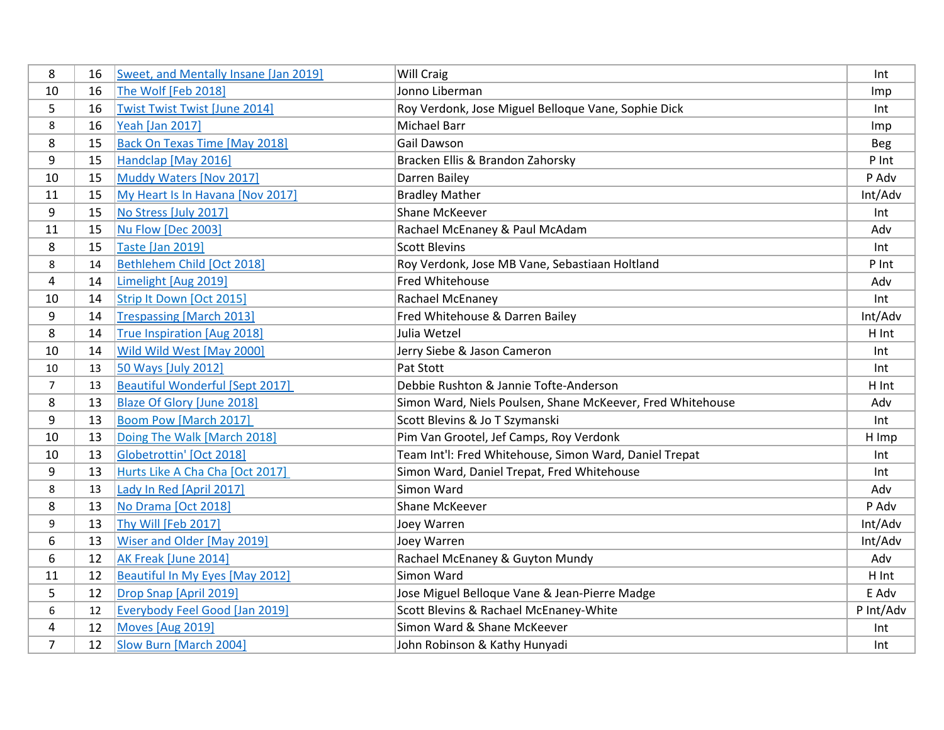| 8              | 16 | Sweet, and Mentally Insane [Jan 2019]  | Will Craig                                                 | Int       |
|----------------|----|----------------------------------------|------------------------------------------------------------|-----------|
| 10             | 16 | The Wolf [Feb 2018]                    | Jonno Liberman                                             | Imp       |
| 5              | 16 | <b>Twist Twist Twist [June 2014]</b>   | Roy Verdonk, Jose Miguel Belloque Vane, Sophie Dick        | Int       |
| 8              | 16 | <b>Yeah [Jan 2017]</b>                 | <b>Michael Barr</b>                                        | Imp       |
| 8              | 15 | <b>Back On Texas Time [May 2018]</b>   | Gail Dawson                                                | Beg       |
| 9              | 15 | Handclap [May 2016]                    | Bracken Ellis & Brandon Zahorsky                           | P Int     |
| 10             | 15 | Muddy Waters [Nov 2017]                | Darren Bailey                                              | P Adv     |
| 11             | 15 | My Heart Is In Havana [Nov 2017]       | <b>Bradley Mather</b>                                      | Int/Adv   |
| 9              | 15 | No Stress [July 2017]                  | Shane McKeever                                             | Int       |
| 11             | 15 | Nu Flow [Dec 2003]                     | Rachael McEnaney & Paul McAdam                             | Adv       |
| 8              | 15 | <b>Taste [Jan 2019]</b>                | <b>Scott Blevins</b>                                       | Int       |
| 8              | 14 | Bethlehem Child [Oct 2018]             | Roy Verdonk, Jose MB Vane, Sebastiaan Holtland             | P Int     |
| 4              | 14 | Limelight [Aug 2019]                   | Fred Whitehouse                                            | Adv       |
| 10             | 14 | Strip It Down [Oct 2015]               | Rachael McEnaney                                           | Int       |
| 9              | 14 | <b>Trespassing [March 2013]</b>        | Fred Whitehouse & Darren Bailey                            | Int/Adv   |
| 8              | 14 | True Inspiration [Aug 2018]            | Julia Wetzel                                               | H Int     |
| 10             | 14 | Wild Wild West [May 2000]              | Jerry Siebe & Jason Cameron                                | Int       |
| $10\,$         | 13 | 50 Ways [July 2012]                    | Pat Stott                                                  | Int       |
| $\overline{7}$ | 13 | <b>Beautiful Wonderful [Sept 2017]</b> | Debbie Rushton & Jannie Tofte-Anderson                     | H Int     |
| 8              | 13 | <b>Blaze Of Glory [June 2018]</b>      | Simon Ward, Niels Poulsen, Shane McKeever, Fred Whitehouse | Adv       |
| 9              | 13 | <b>Boom Pow [March 2017]</b>           | Scott Blevins & Jo T Szymanski                             | Int       |
| 10             | 13 | Doing The Walk [March 2018]            | Pim Van Grootel, Jef Camps, Roy Verdonk                    | H Imp     |
| 10             | 13 | Globetrottin' [Oct 2018]               | Team Int'l: Fred Whitehouse, Simon Ward, Daniel Trepat     | Int       |
| 9              | 13 | Hurts Like A Cha Cha [Oct 2017]        | Simon Ward, Daniel Trepat, Fred Whitehouse                 | Int       |
| 8              | 13 | Lady In Red [April 2017]               | Simon Ward                                                 | Adv       |
| 8              | 13 | No Drama [Oct 2018]                    | Shane McKeever                                             | P Adv     |
| 9              | 13 | Thy Will [Feb 2017]                    | Joey Warren                                                | Int/Adv   |
| 6              | 13 | Wiser and Older [May 2019]             | Joey Warren                                                | Int/Adv   |
| 6              | 12 | AK Freak [June 2014]                   | Rachael McEnaney & Guyton Mundy                            | Adv       |
| 11             | 12 | Beautiful In My Eyes [May 2012]        | Simon Ward                                                 | H Int     |
| 5              | 12 | Drop Snap [April 2019]                 | Jose Miguel Belloque Vane & Jean-Pierre Madge              | E Adv     |
| 6              | 12 | Everybody Feel Good [Jan 2019]         | Scott Blevins & Rachael McEnaney-White                     | P Int/Adv |
| 4              | 12 | Moves [Aug 2019]                       | Simon Ward & Shane McKeever                                | Int       |
| 7              | 12 | Slow Burn [March 2004]                 | John Robinson & Kathy Hunyadi                              | Int       |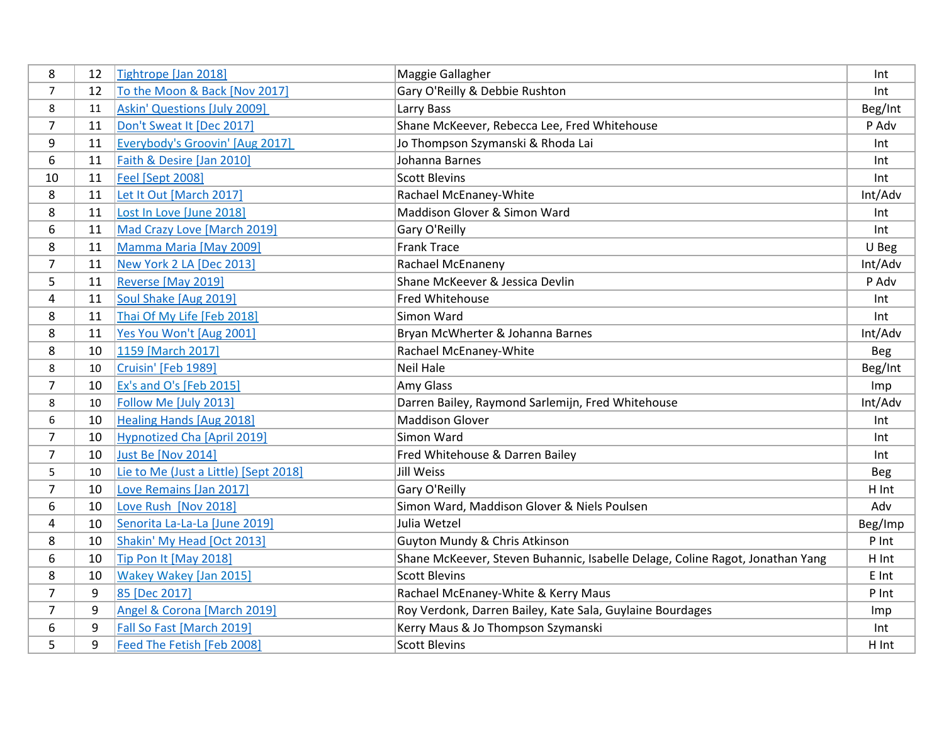| 8              | 12 | Tightrope [Jan 2018]                  | Maggie Gallagher                                                              | Int        |
|----------------|----|---------------------------------------|-------------------------------------------------------------------------------|------------|
| $\overline{7}$ | 12 | To the Moon & Back [Nov 2017]         | Gary O'Reilly & Debbie Rushton                                                | Int        |
| 8              | 11 | <b>Askin' Questions [July 2009]</b>   | Larry Bass                                                                    | Beg/Int    |
| $\overline{7}$ | 11 | Don't Sweat It [Dec 2017]             | Shane McKeever, Rebecca Lee, Fred Whitehouse                                  | P Adv      |
| 9              | 11 | Everybody's Groovin' [Aug 2017]       | Jo Thompson Szymanski & Rhoda Lai                                             | Int        |
| 6              | 11 | Faith & Desire [Jan 2010]             | Johanna Barnes                                                                | Int        |
| 10             | 11 | <b>Feel [Sept 2008]</b>               | <b>Scott Blevins</b>                                                          | Int        |
| 8              | 11 | Let It Out [March 2017]               | Rachael McEnaney-White                                                        | Int/Adv    |
| 8              | 11 | Lost In Love [June 2018]              | Maddison Glover & Simon Ward                                                  | Int        |
| 6              | 11 | Mad Crazy Love [March 2019]           | Gary O'Reilly                                                                 | Int        |
| 8              | 11 | Mamma Maria [May 2009]                | <b>Frank Trace</b>                                                            | U Beg      |
| $\overline{7}$ | 11 | New York 2 LA [Dec 2013]              | Rachael McEnaneny                                                             | Int/Adv    |
| 5              | 11 | Reverse [May 2019]                    | Shane McKeever & Jessica Devlin                                               | P Adv      |
| 4              | 11 | Soul Shake [Aug 2019]                 | Fred Whitehouse                                                               | Int        |
| 8              | 11 | Thai Of My Life [Feb 2018]            | Simon Ward                                                                    | Int        |
| 8              | 11 | Yes You Won't [Aug 2001]              | Bryan McWherter & Johanna Barnes                                              | Int/Adv    |
| 8              | 10 | 1159 [March 2017]                     | Rachael McEnaney-White                                                        | Beg        |
| 8              | 10 | Cruisin' [Feb 1989]                   | <b>Neil Hale</b>                                                              | Beg/Int    |
| $\overline{7}$ | 10 | Ex's and O's [Feb 2015]               | Amy Glass                                                                     | Imp        |
| 8              | 10 | Follow Me [July 2013]                 | Darren Bailey, Raymond Sarlemijn, Fred Whitehouse                             | Int/Adv    |
| 6              | 10 | <b>Healing Hands [Aug 2018]</b>       | <b>Maddison Glover</b>                                                        | Int        |
| $\overline{7}$ | 10 | <b>Hypnotized Cha [April 2019]</b>    | Simon Ward                                                                    | Int        |
| $\overline{7}$ | 10 | <b>Just Be [Nov 2014]</b>             | Fred Whitehouse & Darren Bailey                                               | Int        |
| 5              | 10 | Lie to Me (Just a Little) [Sept 2018] | <b>Jill Weiss</b>                                                             | <b>Beg</b> |
| $\overline{7}$ | 10 | Love Remains [Jan 2017]               | Gary O'Reilly                                                                 | H Int      |
| 6              | 10 | Love Rush [Nov 2018]                  | Simon Ward, Maddison Glover & Niels Poulsen                                   | Adv        |
| 4              | 10 | Senorita La-La-La [June 2019]         | Julia Wetzel                                                                  | Beg/Imp    |
| 8              | 10 | Shakin' My Head [Oct 2013]            | Guyton Mundy & Chris Atkinson                                                 | P Int      |
| 6              | 10 | Tip Pon It [May 2018]                 | Shane McKeever, Steven Buhannic, Isabelle Delage, Coline Ragot, Jonathan Yang | H Int      |
| 8              | 10 | <b>Wakey Wakey [Jan 2015]</b>         | <b>Scott Blevins</b>                                                          | E Int      |
| 7              | 9  | 85 [Dec 2017]                         | Rachael McEnaney-White & Kerry Maus                                           | P Int      |
| $\overline{7}$ | 9  | Angel & Corona [March 2019]           | Roy Verdonk, Darren Bailey, Kate Sala, Guylaine Bourdages                     | Imp        |
| 6              | 9  | Fall So Fast [March 2019]             | Kerry Maus & Jo Thompson Szymanski                                            | Int        |
| 5              | 9  | Feed The Fetish [Feb 2008]            | <b>Scott Blevins</b>                                                          | H Int      |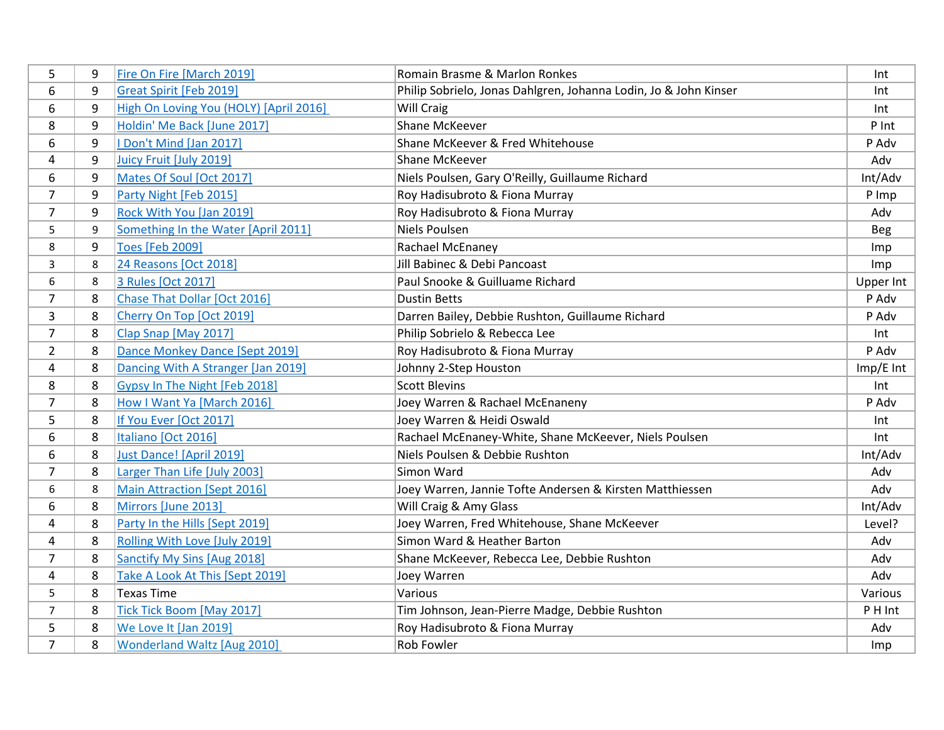| 5              | 9 | Fire On Fire [March 2019]              | Romain Brasme & Marlon Ronkes                                    | Int         |
|----------------|---|----------------------------------------|------------------------------------------------------------------|-------------|
| 6              | 9 | Great Spirit [Feb 2019]                | Philip Sobrielo, Jonas Dahlgren, Johanna Lodin, Jo & John Kinser | Int         |
| 6              | 9 | High On Loving You (HOLY) [April 2016] | <b>Will Craig</b>                                                | Int         |
| 8              | 9 | Holdin' Me Back [June 2017]            | <b>Shane McKeever</b>                                            | P Int       |
| 6              | 9 | I Don't Mind [Jan 2017]                | Shane McKeever & Fred Whitehouse                                 | P Adv       |
| 4              | 9 | Juicy Fruit [July 2019]                | <b>Shane McKeever</b>                                            | Adv         |
| 6              | 9 | Mates Of Soul [Oct 2017]               | Niels Poulsen, Gary O'Reilly, Guillaume Richard                  | Int/Adv     |
| $\overline{7}$ | 9 | Party Night [Feb 2015]                 | Roy Hadisubroto & Fiona Murray                                   | P Imp       |
| $\overline{7}$ | 9 | Rock With You [Jan 2019]               | Roy Hadisubroto & Fiona Murray                                   | Adv         |
| 5              | 9 | Something In the Water [April 2011]    | Niels Poulsen                                                    | <b>Beg</b>  |
| 8              | 9 | <b>Toes [Feb 2009]</b>                 | Rachael McEnaney                                                 | Imp         |
| 3              | 8 | 24 Reasons [Oct 2018]                  | Jill Babinec & Debi Pancoast                                     | Imp         |
| 6              | 8 | 3 Rules [Oct 2017]                     | Paul Snooke & Guilluame Richard                                  | Upper Int   |
| $\overline{7}$ | 8 | Chase That Dollar [Oct 2016]           | <b>Dustin Betts</b>                                              | P Adv       |
| 3              | 8 | Cherry On Top [Oct 2019]               | Darren Bailey, Debbie Rushton, Guillaume Richard                 | P Adv       |
| $\overline{7}$ | 8 | Clap Snap [May 2017]                   | Philip Sobrielo & Rebecca Lee                                    | Int         |
| $\overline{2}$ | 8 | Dance Monkey Dance [Sept 2019]         | Roy Hadisubroto & Fiona Murray                                   | P Adv       |
| 4              | 8 | Dancing With A Stranger [Jan 2019]     | Johnny 2-Step Houston                                            | $Imp/E$ Int |
| 8              | 8 | Gypsy In The Night [Feb 2018]          | <b>Scott Blevins</b>                                             | Int         |
| $\overline{7}$ | 8 | How I Want Ya [March 2016]             | Joey Warren & Rachael McEnaneny                                  | P Adv       |
| 5              | 8 | If You Ever [Oct 2017]                 | Joey Warren & Heidi Oswald                                       | Int         |
| 6              | 8 | Italiano [Oct 2016]                    | Rachael McEnaney-White, Shane McKeever, Niels Poulsen            | Int         |
| 6              | 8 | Just Dance! [April 2019]               | Niels Poulsen & Debbie Rushton                                   | Int/Adv     |
| $\overline{7}$ | 8 | Larger Than Life [July 2003]           | Simon Ward                                                       | Adv         |
| 6              | 8 | <b>Main Attraction [Sept 2016]</b>     | Joey Warren, Jannie Tofte Andersen & Kirsten Matthiessen         | Adv         |
| 6              | 8 | Mirrors [June 2013]                    | Will Craig & Amy Glass                                           | Int/Adv     |
| 4              | 8 | Party In the Hills [Sept 2019]         | Joey Warren, Fred Whitehouse, Shane McKeever                     | Level?      |
| 4              | 8 | Rolling With Love [July 2019]          | Simon Ward & Heather Barton                                      | Adv         |
| $\overline{7}$ | 8 | Sanctify My Sins [Aug 2018]            | Shane McKeever, Rebecca Lee, Debbie Rushton                      | Adv         |
| 4              | 8 | Take A Look At This [Sept 2019]        | Joey Warren                                                      | Adv         |
| 5              | 8 | <b>Texas Time</b>                      | Various                                                          | Various     |
| $\overline{7}$ | 8 | Tick Tick Boom [May 2017]              | Tim Johnson, Jean-Pierre Madge, Debbie Rushton                   | P H Int     |
| 5              | 8 | We Love It [Jan 2019]                  | Roy Hadisubroto & Fiona Murray                                   | Adv         |
| $\overline{7}$ | 8 | Wonderland Waltz [Aug 2010]            | <b>Rob Fowler</b>                                                | Imp         |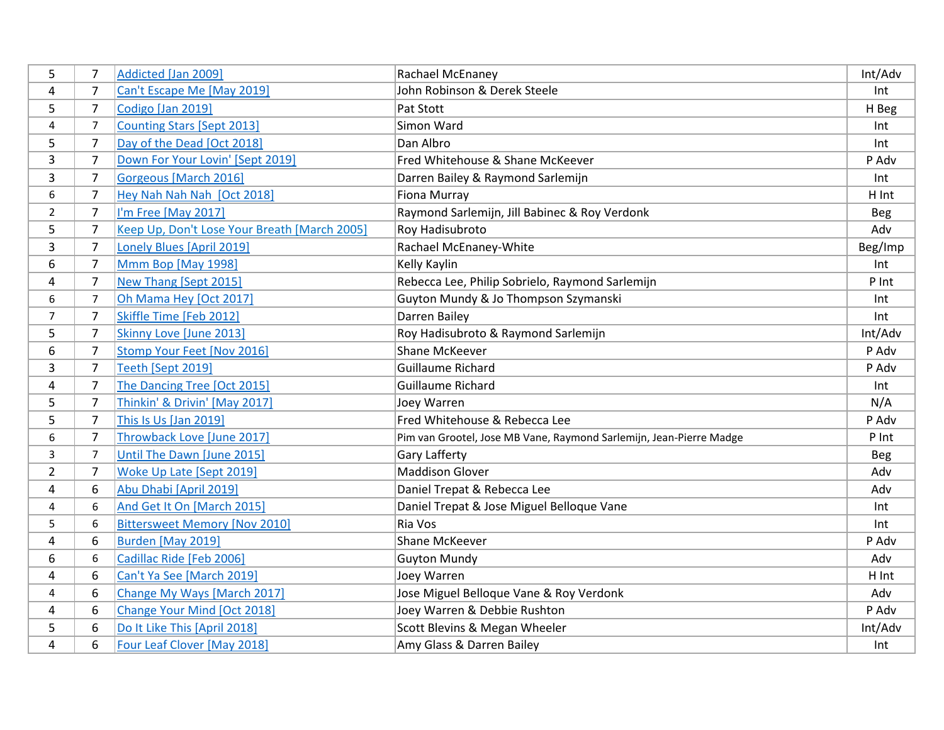| 5              | 7              | Addicted [Jan 2009]                          | Rachael McEnaney                                                    | Int/Adv    |
|----------------|----------------|----------------------------------------------|---------------------------------------------------------------------|------------|
| 4              | 7              | Can't Escape Me [May 2019]                   | John Robinson & Derek Steele                                        | Int        |
| 5              | $\overline{7}$ | Codigo [Jan 2019]                            | Pat Stott                                                           | H Beg      |
| 4              | $\overline{7}$ | <b>Counting Stars [Sept 2013]</b>            | Simon Ward                                                          | Int        |
| 5              | 7              | Day of the Dead [Oct 2018]                   | Dan Albro                                                           | Int        |
| 3              | 7              | Down For Your Lovin' [Sept 2019]             | Fred Whitehouse & Shane McKeever                                    | P Adv      |
| 3              | 7              | Gorgeous [March 2016]                        | Darren Bailey & Raymond Sarlemijn                                   | Int        |
| 6              | 7              | Hey Nah Nah Nah [Oct 2018]                   | Fiona Murray                                                        | H Int      |
| $\overline{2}$ | $\overline{7}$ | I'm Free [May 2017]                          | Raymond Sarlemijn, Jill Babinec & Roy Verdonk                       | <b>Beg</b> |
| 5              | 7              | Keep Up, Don't Lose Your Breath [March 2005] | Roy Hadisubroto                                                     | Adv        |
| 3              | $\overline{7}$ | Lonely Blues [April 2019]                    | Rachael McEnaney-White                                              | Beg/Imp    |
| 6              | $\overline{7}$ | Mmm Bop [May 1998]                           | Kelly Kaylin                                                        | Int        |
| 4              | $\overline{7}$ | New Thang [Sept 2015]                        | Rebecca Lee, Philip Sobrielo, Raymond Sarlemijn                     | P Int      |
| 6              | $\overline{7}$ | Oh Mama Hey [Oct 2017]                       | Guyton Mundy & Jo Thompson Szymanski                                | Int        |
| $\overline{7}$ | $\overline{7}$ | Skiffle Time [Feb 2012]                      | Darren Bailey                                                       | Int        |
| 5              | 7              | Skinny Love [June 2013]                      | Roy Hadisubroto & Raymond Sarlemijn                                 | Int/Adv    |
| 6              | 7              | Stomp Your Feet [Nov 2016]                   | <b>Shane McKeever</b>                                               | P Adv      |
| 3              | 7              | Teeth [Sept 2019]                            | <b>Guillaume Richard</b>                                            | P Adv      |
| 4              | $\overline{7}$ | The Dancing Tree [Oct 2015]                  | <b>Guillaume Richard</b>                                            | Int        |
| 5              | $\overline{7}$ | Thinkin' & Drivin' [May 2017]                | Joey Warren                                                         | N/A        |
| 5              | $\overline{7}$ | This Is Us [Jan 2019]                        | Fred Whitehouse & Rebecca Lee                                       | P Adv      |
| 6              | 7              | Throwback Love [June 2017]                   | Pim van Grootel, Jose MB Vane, Raymond Sarlemijn, Jean-Pierre Madge | P Int      |
| 3              | $\overline{7}$ | Until The Dawn [June 2015]                   | Gary Lafferty                                                       | Beg        |
| $\overline{2}$ | 7              | Woke Up Late [Sept 2019]                     | <b>Maddison Glover</b>                                              | Adv        |
| 4              | 6              | Abu Dhabi [April 2019]                       | Daniel Trepat & Rebecca Lee                                         | Adv        |
| 4              | 6              | And Get It On [March 2015]                   | Daniel Trepat & Jose Miguel Belloque Vane                           | Int        |
| 5              | 6              | <b>Bittersweet Memory [Nov 2010]</b>         | Ria Vos                                                             | Int        |
| 4              | 6              | Burden [May 2019]                            | <b>Shane McKeever</b>                                               | P Adv      |
| 6              | 6              | Cadillac Ride [Feb 2006]                     | <b>Guyton Mundy</b>                                                 | Adv        |
| 4              | 6              | Can't Ya See [March 2019]                    | Joey Warren                                                         | H Int      |
| 4              | 6              | Change My Ways [March 2017]                  | Jose Miguel Belloque Vane & Roy Verdonk                             | Adv        |
| 4              | 6              | Change Your Mind [Oct 2018]                  | Joey Warren & Debbie Rushton                                        | P Adv      |
| 5              | 6              | Do It Like This [April 2018]                 | Scott Blevins & Megan Wheeler                                       | Int/Adv    |
| 4              | 6              | Four Leaf Clover [May 2018]                  | Amy Glass & Darren Bailey                                           | Int        |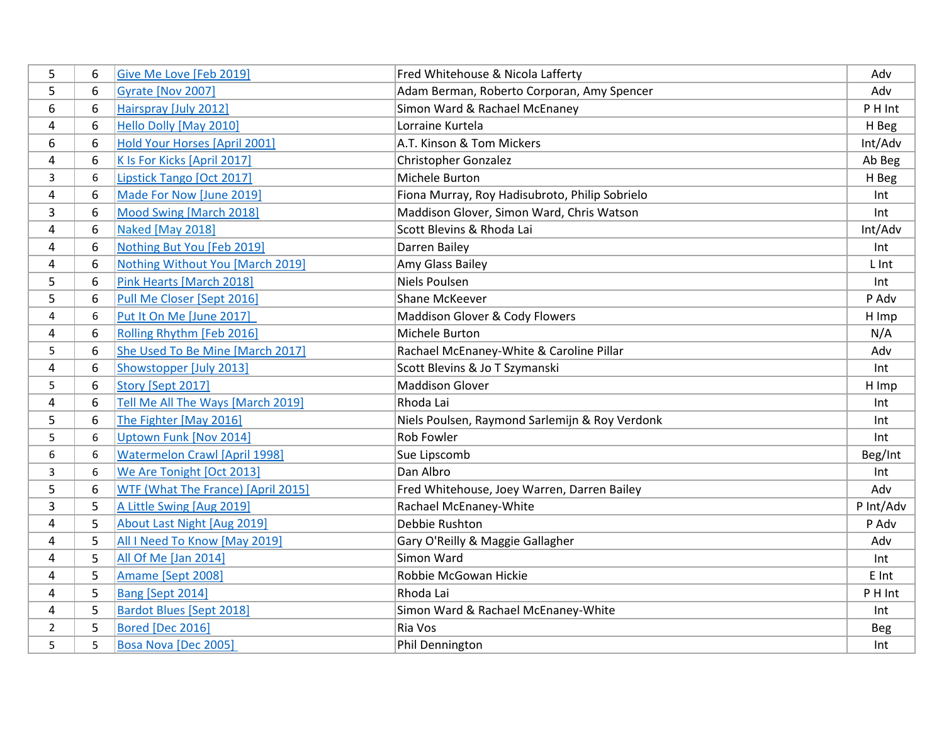| 5 | 6 | Give Me Love [Feb 2019]              | Fred Whitehouse & Nicola Lafferty              | Adv        |
|---|---|--------------------------------------|------------------------------------------------|------------|
| 5 | 6 | Gyrate [Nov 2007]                    | Adam Berman, Roberto Corporan, Amy Spencer     | Adv        |
| 6 | 6 | Hairspray [July 2012]                | Simon Ward & Rachael McEnaney                  | P H Int    |
| 4 | 6 | Hello Dolly [May 2010]               | Lorraine Kurtela                               | H Beg      |
| 6 | 6 | Hold Your Horses [April 2001]        | A.T. Kinson & Tom Mickers                      | Int/Adv    |
| 4 | 6 | K Is For Kicks [April 2017]          | Christopher Gonzalez                           | Ab Beg     |
| 3 | 6 | Lipstick Tango [Oct 2017]            | Michele Burton                                 | H Beg      |
| 4 | 6 | Made For Now [June 2019]             | Fiona Murray, Roy Hadisubroto, Philip Sobrielo | Int        |
| 3 | 6 | Mood Swing [March 2018]              | Maddison Glover, Simon Ward, Chris Watson      | Int        |
| 4 | 6 | Naked [May 2018]                     | Scott Blevins & Rhoda Lai                      | Int/Adv    |
| 4 | 6 | Nothing But You [Feb 2019]           | Darren Bailey                                  | Int        |
| 4 | 6 | Nothing Without You [March 2019]     | Amy Glass Bailey                               | L Int      |
| 5 | 6 | Pink Hearts [March 2018]             | Niels Poulsen                                  | Int        |
| 5 | 6 | Pull Me Closer [Sept 2016]           | Shane McKeever                                 | P Adv      |
| 4 | 6 | Put It On Me [June 2017]             | Maddison Glover & Cody Flowers                 | H Imp      |
| 4 | 6 | Rolling Rhythm [Feb 2016]            | Michele Burton                                 | N/A        |
| 5 | 6 | She Used To Be Mine [March 2017]     | Rachael McEnaney-White & Caroline Pillar       | Adv        |
| 4 | 6 | Showstopper [July 2013]              | Scott Blevins & Jo T Szymanski                 | Int        |
| 5 | 6 | Story [Sept 2017]                    | <b>Maddison Glover</b>                         | H Imp      |
| 4 | 6 | Tell Me All The Ways [March 2019]    | Rhoda Lai                                      | Int        |
| 5 | 6 | The Fighter [May 2016]               | Niels Poulsen, Raymond Sarlemijn & Roy Verdonk | Int        |
| 5 | 6 | <b>Uptown Funk [Nov 2014]</b>        | <b>Rob Fowler</b>                              | Int        |
| 6 | 6 | <b>Watermelon Crawl [April 1998]</b> | Sue Lipscomb                                   | Beg/Int    |
| 3 | 6 | We Are Tonight [Oct 2013]            | Dan Albro                                      | Int        |
| 5 | 6 | WTF (What The France) [April 2015]   | Fred Whitehouse, Joey Warren, Darren Bailey    | Adv        |
| 3 | 5 | A Little Swing [Aug 2019]            | Rachael McEnaney-White                         | P Int/Adv  |
| 4 | 5 | About Last Night [Aug 2019]          | Debbie Rushton                                 | P Adv      |
| 4 | 5 | All I Need To Know [May 2019]        | Gary O'Reilly & Maggie Gallagher               | Adv        |
| 4 | 5 | All Of Me [Jan 2014]                 | Simon Ward                                     | Int        |
| 4 | 5 | Amame [Sept 2008]                    | Robbie McGowan Hickie                          | E Int      |
| 4 | 5 | Bang [Sept 2014]                     | Rhoda Lai                                      | P H Int    |
| 4 | 5 | <b>Bardot Blues [Sept 2018]</b>      | Simon Ward & Rachael McEnaney-White            | Int        |
| 2 | 5 | Bored [Dec 2016]                     | Ria Vos                                        | <b>Beg</b> |
| 5 | 5 | Bosa Nova [Dec 2005]                 | Phil Dennington                                | Int        |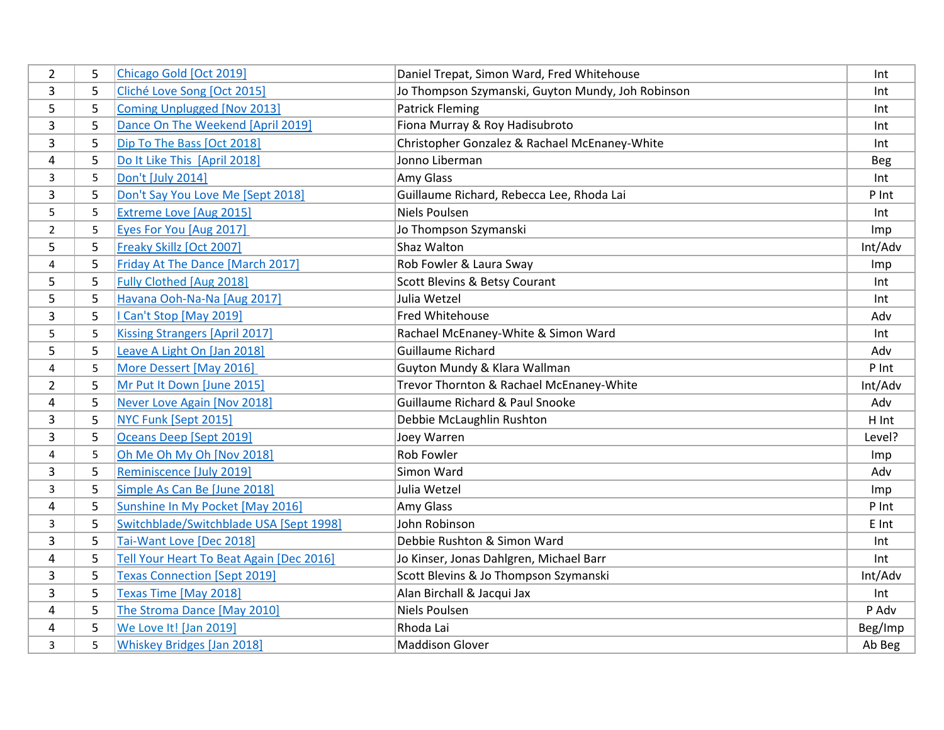| $\overline{2}$ | 5 | Chicago Gold [Oct 2019]                  | Daniel Trepat, Simon Ward, Fred Whitehouse        | Int        |
|----------------|---|------------------------------------------|---------------------------------------------------|------------|
| 3              | 5 | Cliché Love Song [Oct 2015]              | Jo Thompson Szymanski, Guyton Mundy, Joh Robinson | Int        |
| 5              | 5 | <b>Coming Unplugged [Nov 2013]</b>       | <b>Patrick Fleming</b>                            | Int        |
| 3              | 5 | Dance On The Weekend [April 2019]        | Fiona Murray & Roy Hadisubroto                    | Int        |
| 3              | 5 | Dip To The Bass [Oct 2018]               | Christopher Gonzalez & Rachael McEnaney-White     | Int        |
| 4              | 5 | Do It Like This [April 2018]             | Jonno Liberman                                    | <b>Beg</b> |
| 3              | 5 | Don't [July 2014]                        | Amy Glass                                         | Int        |
| 3              | 5 | Don't Say You Love Me [Sept 2018]        | Guillaume Richard, Rebecca Lee, Rhoda Lai         | P Int      |
| 5              | 5 | Extreme Love [Aug 2015]                  | <b>Niels Poulsen</b>                              | Int        |
| $\overline{2}$ | 5 | Eyes For You [Aug 2017]                  | Jo Thompson Szymanski                             | Imp        |
| 5              | 5 | Freaky Skillz [Oct 2007]                 | Shaz Walton                                       | Int/Adv    |
| 4              | 5 | Friday At The Dance [March 2017]         | Rob Fowler & Laura Sway                           | Imp        |
| 5              | 5 | <b>Fully Clothed [Aug 2018]</b>          | Scott Blevins & Betsy Courant                     | Int        |
| 5              | 5 | Havana Ooh-Na-Na [Aug 2017]              | Julia Wetzel                                      | Int        |
| 3              | 5 | I Can't Stop [May 2019]                  | Fred Whitehouse                                   | Adv        |
| 5              | 5 | <b>Kissing Strangers [April 2017]</b>    | Rachael McEnaney-White & Simon Ward               | Int        |
| 5              | 5 | Leave A Light On [Jan 2018]              | <b>Guillaume Richard</b>                          | Adv        |
| 4              | 5 | More Dessert [May 2016]                  | Guyton Mundy & Klara Wallman                      | P Int      |
| $\overline{2}$ | 5 | Mr Put It Down [June 2015]               | Trevor Thornton & Rachael McEnaney-White          | Int/Adv    |
| 4              | 5 | Never Love Again [Nov 2018]              | Guillaume Richard & Paul Snooke                   | Adv        |
| 3              | 5 | NYC Funk [Sept 2015]                     | Debbie McLaughlin Rushton                         | H Int      |
| 3              | 5 | Oceans Deep [Sept 2019]                  | Joey Warren                                       | Level?     |
| 4              | 5 | Oh Me Oh My Oh [Nov 2018]                | <b>Rob Fowler</b>                                 | Imp        |
| 3              | 5 | Reminiscence [July 2019]                 | Simon Ward                                        | Adv        |
| 3              | 5 | Simple As Can Be [June 2018]             | Julia Wetzel                                      | Imp        |
| $\overline{4}$ | 5 | Sunshine In My Pocket [May 2016]         | Amy Glass                                         | P Int      |
| 3              | 5 | Switchblade/Switchblade USA [Sept 1998]  | John Robinson                                     | E Int      |
| 3              | 5 | Tai-Want Love [Dec 2018]                 | Debbie Rushton & Simon Ward                       | Int        |
| 4              | 5 | Tell Your Heart To Beat Again [Dec 2016] | Jo Kinser, Jonas Dahlgren, Michael Barr           | Int        |
| 3              | 5 | <b>Texas Connection [Sept 2019]</b>      | Scott Blevins & Jo Thompson Szymanski             | Int/Adv    |
| 3              | 5 | Texas Time [May 2018]                    | Alan Birchall & Jacqui Jax                        | Int        |
| 4              | 5 | The Stroma Dance [May 2010]              | Niels Poulsen                                     | P Adv      |
| 4              | 5 | We Love It! [Jan 2019]                   | Rhoda Lai                                         | Beg/Imp    |
| 3              | 5 | <b>Whiskey Bridges [Jan 2018]</b>        | <b>Maddison Glover</b>                            | Ab Beg     |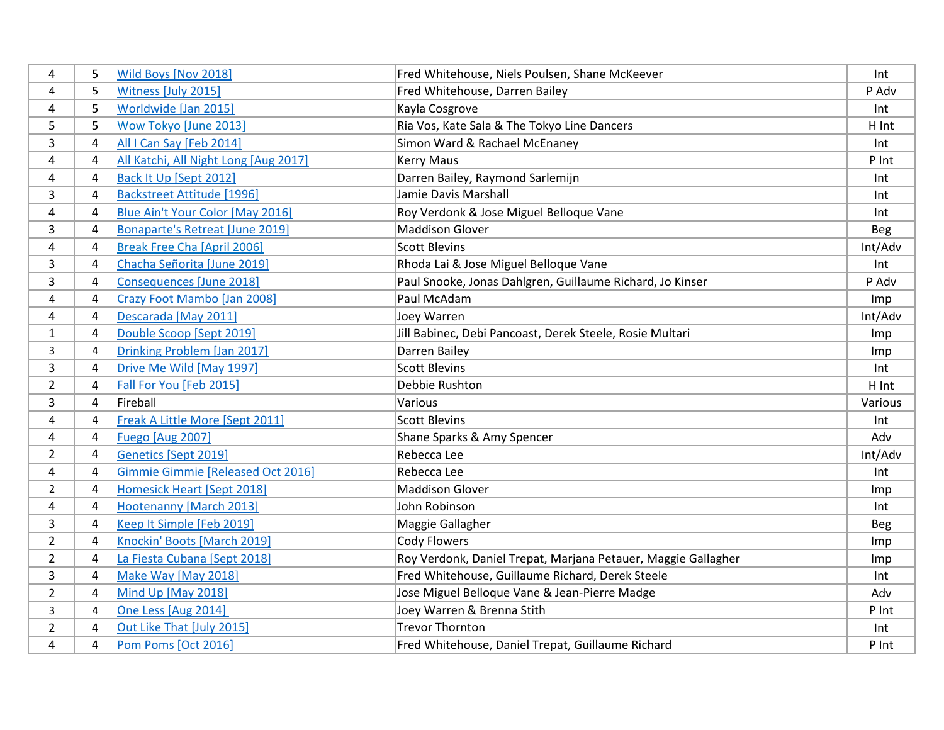| 4              | 5              | Wild Boys [Nov 2018]                     | Fred Whitehouse, Niels Poulsen, Shane McKeever                | Int        |
|----------------|----------------|------------------------------------------|---------------------------------------------------------------|------------|
| 4              | 5              | Witness [July 2015]                      | Fred Whitehouse, Darren Bailey                                | P Adv      |
| 4              | 5              | Worldwide [Jan 2015]                     | Kayla Cosgrove                                                | Int        |
| 5              | 5              | Wow Tokyo [June 2013]                    | Ria Vos, Kate Sala & The Tokyo Line Dancers                   | H Int      |
| 3              | 4              | All I Can Say [Feb 2014]                 | Simon Ward & Rachael McEnaney                                 | Int        |
| 4              | 4              | All Katchi, All Night Long [Aug 2017]    | <b>Kerry Maus</b>                                             | P Int      |
| $\overline{a}$ | $\overline{4}$ | Back It Up [Sept 2012]                   | Darren Bailey, Raymond Sarlemijn                              | Int        |
| 3              | 4              | <b>Backstreet Attitude [1996]</b>        | Jamie Davis Marshall                                          | Int        |
| 4              | $\overline{4}$ | Blue Ain't Your Color [May 2016]         | Roy Verdonk & Jose Miguel Belloque Vane                       | Int        |
| $\overline{3}$ | $\overline{4}$ | Bonaparte's Retreat [June 2019]          | <b>Maddison Glover</b>                                        | <b>Beg</b> |
| 4              | 4              | Break Free Cha [April 2006]              | <b>Scott Blevins</b>                                          | Int/Adv    |
| 3              | 4              | Chacha Señorita [June 2019]              | Rhoda Lai & Jose Miguel Belloque Vane                         | Int        |
| $\overline{3}$ | 4              | <b>Consequences [June 2018]</b>          | Paul Snooke, Jonas Dahlgren, Guillaume Richard, Jo Kinser     | P Adv      |
| 4              | $\overline{a}$ | Crazy Foot Mambo [Jan 2008]              | Paul McAdam                                                   | Imp        |
| 4              | 4              | Descarada [May 2011]                     | Joey Warren                                                   | Int/Adv    |
| 1              | 4              | Double Scoop [Sept 2019]                 | Jill Babinec, Debi Pancoast, Derek Steele, Rosie Multari      | Imp        |
| 3              | $\overline{4}$ | Drinking Problem [Jan 2017]              | Darren Bailey                                                 | Imp        |
| 3              | 4              | Drive Me Wild [May 1997]                 | <b>Scott Blevins</b>                                          | Int        |
| $\overline{2}$ | $\overline{4}$ | Fall For You [Feb 2015]                  | Debbie Rushton                                                | H Int      |
| 3              | $\overline{4}$ | Fireball                                 | Various                                                       | Various    |
| 4              | $\overline{4}$ | Freak A Little More [Sept 2011]          | <b>Scott Blevins</b>                                          | Int        |
| 4              | $\overline{a}$ | <b>Fuego [Aug 2007]</b>                  | Shane Sparks & Amy Spencer                                    | Adv        |
| $\overline{2}$ | 4              | <b>Genetics [Sept 2019]</b>              | Rebecca Lee                                                   | Int/Adv    |
| 4              | $\overline{4}$ | <b>Gimmie Gimmie [Released Oct 2016]</b> | Rebecca Lee                                                   | Int        |
| $\overline{2}$ | 4              | <b>Homesick Heart [Sept 2018]</b>        | <b>Maddison Glover</b>                                        | Imp        |
| $\overline{a}$ | $\overline{4}$ | Hootenanny [March 2013]                  | John Robinson                                                 | Int        |
| 3              | 4              | Keep It Simple [Feb 2019]                | Maggie Gallagher                                              | Beg        |
| $\overline{2}$ | 4              | Knockin' Boots [March 2019]              | <b>Cody Flowers</b>                                           | Imp        |
| $\overline{2}$ | 4              | La Fiesta Cubana [Sept 2018]             | Roy Verdonk, Daniel Trepat, Marjana Petauer, Maggie Gallagher | Imp        |
| 3              | 4              | Make Way [May 2018]                      | Fred Whitehouse, Guillaume Richard, Derek Steele              | Int        |
| $\overline{2}$ | 4              | Mind Up [May 2018]                       | Jose Miguel Belloque Vane & Jean-Pierre Madge                 | Adv        |
| 3              | $\overline{4}$ | One Less [Aug 2014]                      | Joey Warren & Brenna Stith                                    | P Int      |
| $\overline{2}$ | $\overline{4}$ | Out Like That [July 2015]                | <b>Trevor Thornton</b>                                        | Int        |
| 4              | $\overline{4}$ | Pom Poms [Oct 2016]                      | Fred Whitehouse, Daniel Trepat, Guillaume Richard             | P Int      |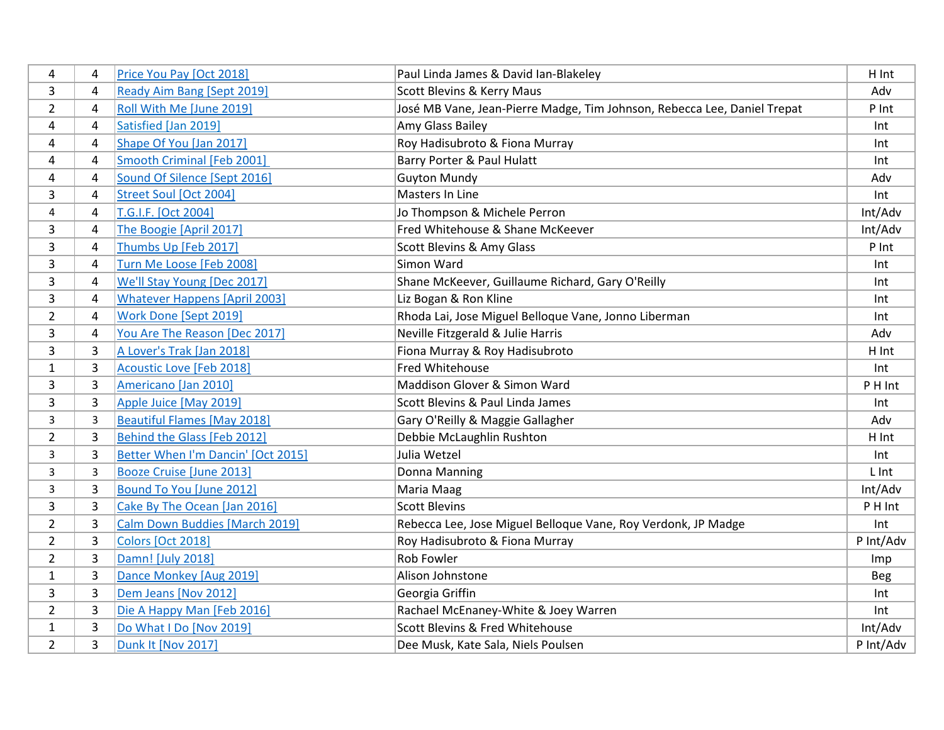| 4              | $\overline{4}$ | Price You Pay [Oct 2018]             | Paul Linda James & David Ian-Blakeley                                    | H Int      |
|----------------|----------------|--------------------------------------|--------------------------------------------------------------------------|------------|
| 3              | 4              | Ready Aim Bang [Sept 2019]           | Scott Blevins & Kerry Maus                                               | Adv        |
| $\overline{2}$ | $\overline{4}$ | Roll With Me [June 2019]             | José MB Vane, Jean-Pierre Madge, Tim Johnson, Rebecca Lee, Daniel Trepat | P Int      |
| 4              | $\overline{a}$ | Satisfied [Jan 2019]                 | Amy Glass Bailey                                                         | Int        |
| 4              | $\overline{4}$ | Shape Of You [Jan 2017]              | Roy Hadisubroto & Fiona Murray                                           | Int        |
| 4              | $\overline{4}$ | Smooth Criminal [Feb 2001]           | Barry Porter & Paul Hulatt                                               | Int        |
| $\overline{a}$ | $\overline{4}$ | Sound Of Silence [Sept 2016]         | <b>Guyton Mundy</b>                                                      | Adv        |
| 3              | 4              | <b>Street Soul [Oct 2004]</b>        | Masters In Line                                                          | Int        |
| 4              | 4              | T.G.I.F. [Oct 2004]                  | Jo Thompson & Michele Perron                                             | Int/Adv    |
| 3              | 4              | The Boogie [April 2017]              | Fred Whitehouse & Shane McKeever                                         | Int/Adv    |
| 3              | 4              | Thumbs Up [Feb 2017]                 | Scott Blevins & Amy Glass                                                | P Int      |
| $\overline{3}$ | 4              | Turn Me Loose [Feb 2008]             | Simon Ward                                                               | Int.       |
| 3              | 4              | We'll Stay Young [Dec 2017]          | Shane McKeever, Guillaume Richard, Gary O'Reilly                         | Int        |
| 3              | 4              | <b>Whatever Happens [April 2003]</b> | Liz Bogan & Ron Kline                                                    | Int        |
| $\overline{2}$ | $\overline{4}$ | Work Done [Sept 2019]                | Rhoda Lai, Jose Miguel Belloque Vane, Jonno Liberman                     | Int        |
| 3              | $\overline{4}$ | You Are The Reason [Dec 2017]        | Neville Fitzgerald & Julie Harris                                        | Adv        |
| 3              | 3              | A Lover's Trak [Jan 2018]            | Fiona Murray & Roy Hadisubroto                                           | H Int      |
| $\mathbf{1}$   | 3              | <b>Acoustic Love [Feb 2018]</b>      | Fred Whitehouse                                                          | Int        |
| 3              | 3              | Americano [Jan 2010]                 | Maddison Glover & Simon Ward                                             | P H Int    |
| 3              | 3              | Apple Juice [May 2019]               | Scott Blevins & Paul Linda James                                         | Int        |
| 3              | $\overline{3}$ | <b>Beautiful Flames [May 2018]</b>   | Gary O'Reilly & Maggie Gallagher                                         | Adv        |
| $\overline{2}$ | 3              | Behind the Glass [Feb 2012]          | Debbie McLaughlin Rushton                                                | H Int      |
| 3              | 3              | Better When I'm Dancin' [Oct 2015]   | Julia Wetzel                                                             | Int        |
| 3              | 3              | <b>Booze Cruise [June 2013]</b>      | Donna Manning                                                            | L Int      |
| 3              | 3              | Bound To You [June 2012]             | Maria Maag                                                               | Int/Adv    |
| 3              | 3              | Cake By The Ocean [Jan 2016]         | <b>Scott Blevins</b>                                                     | P H Int    |
| $\overline{2}$ | 3              | Calm Down Buddies [March 2019]       | Rebecca Lee, Jose Miguel Belloque Vane, Roy Verdonk, JP Madge            | Int.       |
| $\overline{2}$ | 3              | <b>Colors [Oct 2018]</b>             | Roy Hadisubroto & Fiona Murray                                           | P Int/Adv  |
| $\overline{2}$ | 3              | Damn! [July 2018]                    | <b>Rob Fowler</b>                                                        | <b>Imp</b> |
| $\mathbf{1}$   | 3              | Dance Monkey [Aug 2019]              | Alison Johnstone                                                         | <b>Beg</b> |
| 3              | 3              | Dem Jeans [Nov 2012]                 | Georgia Griffin                                                          | Int        |
| $\overline{2}$ | 3              | Die A Happy Man [Feb 2016]           | Rachael McEnaney-White & Joey Warren                                     | Int        |
| $\mathbf{1}$   | 3              | Do What I Do [Nov 2019]              | Scott Blevins & Fred Whitehouse                                          | Int/Adv    |
| $\overline{2}$ | 3              | <b>Dunk It [Nov 2017]</b>            | Dee Musk, Kate Sala, Niels Poulsen                                       | P Int/Adv  |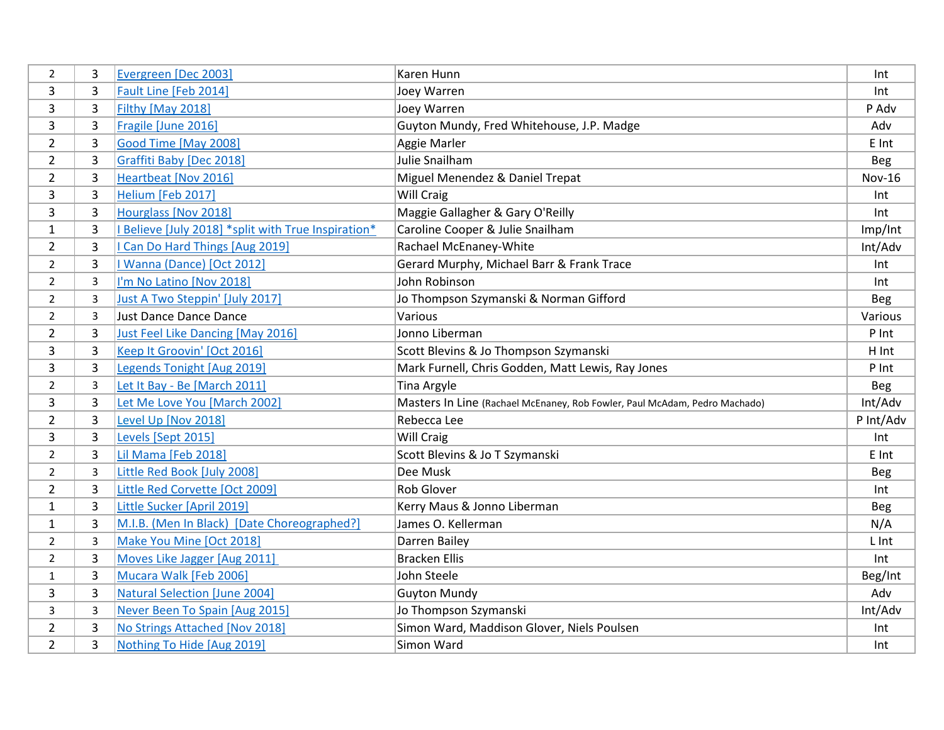| $\overline{2}$ | 3              | Evergreen [Dec 2003]                              | Karen Hunn                                                                 | Int           |
|----------------|----------------|---------------------------------------------------|----------------------------------------------------------------------------|---------------|
| 3              | 3              | Fault Line [Feb 2014]                             | Joey Warren                                                                | Int           |
| 3              | 3              | Filthy [May 2018]                                 | Joey Warren                                                                | P Adv         |
| 3              | 3              | Fragile [June 2016]                               | Guyton Mundy, Fred Whitehouse, J.P. Madge                                  | Adv           |
| $\overline{2}$ | 3              | Good Time [May 2008]                              | Aggie Marler                                                               | E Int         |
| $\overline{2}$ | 3              | Graffiti Baby [Dec 2018]                          | Julie Snailham                                                             | <b>Beg</b>    |
| $\overline{2}$ | 3              | Heartbeat [Nov 2016]                              | Miguel Menendez & Daniel Trepat                                            | <b>Nov-16</b> |
| 3              | 3              | Helium [Feb 2017]                                 | <b>Will Craig</b>                                                          | Int           |
| 3              | 3              | Hourglass [Nov 2018]                              | Maggie Gallagher & Gary O'Reilly                                           | Int           |
| $\mathbf{1}$   | $\overline{3}$ | Believe [July 2018] *split with True Inspiration* | Caroline Cooper & Julie Snailham                                           | Imp/Int       |
| $\overline{2}$ | 3              | Can Do Hard Things [Aug 2019]                     | Rachael McEnaney-White                                                     | Int/Adv       |
| $\overline{2}$ | $\overline{3}$ | I Wanna (Dance) [Oct 2012]                        | Gerard Murphy, Michael Barr & Frank Trace                                  | Int           |
| $\overline{2}$ | 3              | I'm No Latino [Nov 2018]                          | John Robinson                                                              | Int           |
| $\overline{2}$ | 3              | Just A Two Steppin' [July 2017]                   | Jo Thompson Szymanski & Norman Gifford                                     | <b>Beg</b>    |
| $\overline{2}$ | 3              | <b>Just Dance Dance Dance</b>                     | Various                                                                    | Various       |
| $\overline{2}$ | 3              | Just Feel Like Dancing [May 2016]                 | Jonno Liberman                                                             | P Int         |
| 3              | 3              | Keep It Groovin' [Oct 2016]                       | Scott Blevins & Jo Thompson Szymanski                                      | H Int         |
| 3              | 3              | Legends Tonight [Aug 2019]                        | Mark Furnell, Chris Godden, Matt Lewis, Ray Jones                          | P Int         |
| $\overline{2}$ | 3              | Let It Bay - Be [March 2011]                      | <b>Tina Argyle</b>                                                         | <b>Beg</b>    |
| 3              | 3              | Let Me Love You [March 2002]                      | Masters In Line (Rachael McEnaney, Rob Fowler, Paul McAdam, Pedro Machado) | Int/Adv       |
| $\overline{2}$ | 3              | Level Up [Nov 2018]                               | Rebecca Lee                                                                | P Int/Adv     |
| 3              | 3              | Levels [Sept 2015]                                | <b>Will Craig</b>                                                          | Int           |
| $\overline{2}$ | 3              | Lil Mama [Feb 2018]                               | Scott Blevins & Jo T Szymanski                                             | E Int         |
| $\overline{2}$ | 3              | Little Red Book [July 2008]                       | Dee Musk                                                                   | <b>Beg</b>    |
| $\overline{2}$ | $\overline{3}$ | Little Red Corvette [Oct 2009]                    | <b>Rob Glover</b>                                                          | Int.          |
| $\mathbf{1}$   | $\overline{3}$ | Little Sucker [April 2019]                        | Kerry Maus & Jonno Liberman                                                | <b>Beg</b>    |
| $\mathbf{1}$   | $\overline{3}$ | M.I.B. (Men In Black) [Date Choreographed?]       | James O. Kellerman                                                         | N/A           |
| $\overline{2}$ | 3              | Make You Mine [Oct 2018]                          | Darren Bailey                                                              | L Int         |
| $\overline{2}$ | $\overline{3}$ | Moves Like Jagger [Aug 2011]                      | <b>Bracken Ellis</b>                                                       | Int           |
| $\mathbf{1}$   | 3              | Mucara Walk [Feb 2006]                            | John Steele                                                                | Beg/Int       |
| 3              | 3              | <b>Natural Selection [June 2004]</b>              | <b>Guyton Mundy</b>                                                        | Adv           |
| 3              | 3              | Never Been To Spain [Aug 2015]                    | Jo Thompson Szymanski                                                      | Int/Adv       |
| $\overline{2}$ | 3              | No Strings Attached [Nov 2018]                    | Simon Ward, Maddison Glover, Niels Poulsen                                 | Int           |
| $\overline{2}$ | $\overline{3}$ | Nothing To Hide [Aug 2019]                        | Simon Ward                                                                 | Int           |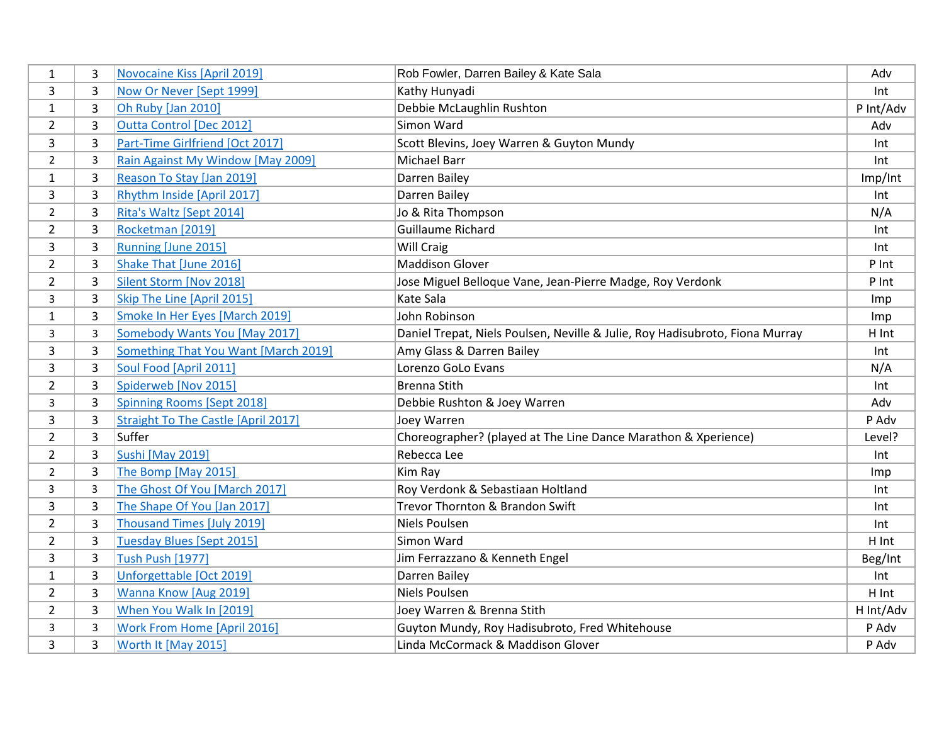| 1              | 3              | <b>Novocaine Kiss [April 2019]</b>   | Rob Fowler, Darren Bailey & Kate Sala                                        | Adv       |
|----------------|----------------|--------------------------------------|------------------------------------------------------------------------------|-----------|
| 3              | 3              | Now Or Never [Sept 1999]             | Kathy Hunyadi                                                                | Int       |
| $\mathbf{1}$   | 3              | Oh Ruby [Jan 2010]                   | Debbie McLaughlin Rushton                                                    | P Int/Adv |
| $\overline{2}$ | 3              | <b>Outta Control [Dec 2012]</b>      | Simon Ward                                                                   | Adv       |
| 3              | 3              | Part-Time Girlfriend [Oct 2017]      | Scott Blevins, Joey Warren & Guyton Mundy                                    | Int       |
| $\overline{2}$ | $\overline{3}$ | Rain Against My Window [May 2009]    | <b>Michael Barr</b>                                                          | Int       |
| $\mathbf{1}$   | 3              | Reason To Stay [Jan 2019]            | Darren Bailey                                                                | Imp/Int   |
| 3              | 3              | Rhythm Inside [April 2017]           | Darren Bailey                                                                | Int       |
| $\overline{2}$ | 3              | Rita's Waltz [Sept 2014]             | Jo & Rita Thompson                                                           | N/A       |
| $\overline{2}$ | 3              | Rocketman [2019]                     | Guillaume Richard                                                            | Int       |
| 3              | 3              | Running [June 2015]                  | Will Craig                                                                   | Int       |
| $\overline{2}$ | 3              | Shake That [June 2016]               | <b>Maddison Glover</b>                                                       | P Int     |
| $\overline{2}$ | 3              | Silent Storm [Nov 2018]              | Jose Miguel Belloque Vane, Jean-Pierre Madge, Roy Verdonk                    | P Int     |
| 3              | 3              | Skip The Line [April 2015]           | Kate Sala                                                                    | Imp       |
| $\mathbf{1}$   | 3              | Smoke In Her Eyes [March 2019]       | John Robinson                                                                | Imp       |
| 3              | 3              | <b>Somebody Wants You [May 2017]</b> | Daniel Trepat, Niels Poulsen, Neville & Julie, Roy Hadisubroto, Fiona Murray | H Int     |
| 3              | 3              | Something That You Want [March 2019] | Amy Glass & Darren Bailey                                                    | Int       |
| 3              | 3              | Soul Food [April 2011]               | Lorenzo GoLo Evans                                                           | N/A       |
| $\overline{2}$ | 3              | Spiderweb [Nov 2015]                 | <b>Brenna Stith</b>                                                          | Int       |
| 3              | 3              | <b>Spinning Rooms [Sept 2018]</b>    | Debbie Rushton & Joey Warren                                                 | Adv       |
| 3              | 3              | Straight To The Castle [April 2017]  | Joey Warren                                                                  | P Adv     |
| $\overline{2}$ | 3              | Suffer                               | Choreographer? (played at The Line Dance Marathon & Xperience)               | Level?    |
| $\overline{2}$ | 3              | <b>Sushi [May 2019]</b>              | Rebecca Lee                                                                  | Int       |
| $\overline{2}$ | 3              | The Bomp [May 2015]                  | Kim Ray                                                                      | Imp       |
| 3              | 3              | The Ghost Of You [March 2017]        | Roy Verdonk & Sebastiaan Holtland                                            | Int       |
| 3              | 3              | The Shape Of You [Jan 2017]          | Trevor Thornton & Brandon Swift                                              | Int       |
| $\overline{2}$ | 3              | <b>Thousand Times [July 2019]</b>    | <b>Niels Poulsen</b>                                                         | Int       |
| $\overline{2}$ | 3              | Tuesday Blues [Sept 2015]            | Simon Ward                                                                   | H Int     |
| $\overline{3}$ | 3              | <b>Tush Push [1977]</b>              | Jim Ferrazzano & Kenneth Engel                                               | Beg/Int   |
| $\mathbf{1}$   | 3              | Unforgettable [Oct 2019]             | Darren Bailey                                                                | Int       |
| $\overline{2}$ | 3              | Wanna Know [Aug 2019]                | Niels Poulsen                                                                | H Int     |
| $\overline{2}$ | 3              | When You Walk In [2019]              | Joey Warren & Brenna Stith                                                   | H Int/Adv |
| 3              | $\overline{3}$ | <b>Work From Home [April 2016]</b>   | Guyton Mundy, Roy Hadisubroto, Fred Whitehouse                               | P Adv     |
| 3              | 3              | Worth It [May 2015]                  | Linda McCormack & Maddison Glover                                            | P Adv     |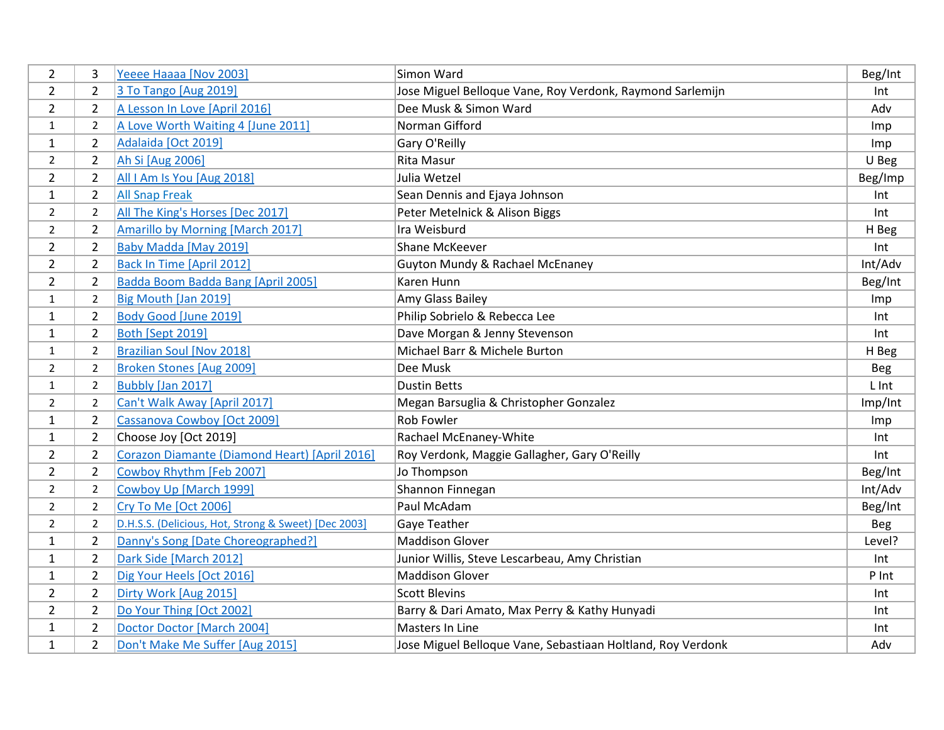| $\overline{2}$ | 3              | Yeeee Haaaa [Nov 2003]                               | Simon Ward                                                  | Beg/Int    |
|----------------|----------------|------------------------------------------------------|-------------------------------------------------------------|------------|
| $\overline{2}$ | $\overline{2}$ | 3 To Tango [Aug 2019]                                | Jose Miguel Belloque Vane, Roy Verdonk, Raymond Sarlemijn   | Int        |
| $\overline{2}$ | $\overline{2}$ | A Lesson In Love [April 2016]                        | Dee Musk & Simon Ward                                       | Adv        |
| $\mathbf{1}$   | $\overline{2}$ | A Love Worth Waiting 4 [June 2011]                   | Norman Gifford                                              | Imp        |
| $\mathbf{1}$   | $\overline{2}$ | Adalaida [Oct 2019]                                  | Gary O'Reilly                                               | Imp        |
| $\overline{2}$ | $\overline{2}$ | Ah Si [Aug 2006]                                     | <b>Rita Masur</b>                                           | U Beg      |
| $\overline{2}$ | $\overline{2}$ | All I Am Is You [Aug 2018]                           | Julia Wetzel                                                | Beg/Imp    |
| $\mathbf{1}$   | $\overline{2}$ | <b>All Snap Freak</b>                                | Sean Dennis and Ejaya Johnson                               | Int        |
| $\overline{2}$ | 2              | All The King's Horses [Dec 2017]                     | Peter Metelnick & Alison Biggs                              | Int        |
| $\overline{2}$ | $\overline{2}$ | <b>Amarillo by Morning [March 2017]</b>              | Ira Weisburd                                                | H Beg      |
| $\overline{2}$ | $\overline{2}$ | Baby Madda [May 2019]                                | Shane McKeever                                              | Int        |
| $\overline{2}$ | $\overline{2}$ | <b>Back In Time [April 2012]</b>                     | <b>Guyton Mundy &amp; Rachael McEnaney</b>                  | Int/Adv    |
| $\overline{2}$ | $\overline{2}$ | Badda Boom Badda Bang [April 2005]                   | Karen Hunn                                                  | Beg/Int    |
| $\mathbf{1}$   | 2              | Big Mouth [Jan 2019]                                 | Amy Glass Bailey                                            | Imp        |
| 1              | $\overline{2}$ | Body Good [June 2019]                                | Philip Sobrielo & Rebecca Lee                               | Int        |
| $\mathbf{1}$   | $\overline{2}$ | Both [Sept 2019]                                     | Dave Morgan & Jenny Stevenson                               | Int        |
| $\mathbf{1}$   | $\overline{2}$ | <b>Brazilian Soul [Nov 2018]</b>                     | Michael Barr & Michele Burton                               | H Beg      |
| $\overline{2}$ | $\overline{2}$ | <b>Broken Stones [Aug 2009]</b>                      | Dee Musk                                                    | <b>Beg</b> |
| $\mathbf{1}$   | $\overline{2}$ | Bubbly [Jan 2017]                                    | <b>Dustin Betts</b>                                         | L Int      |
| $\overline{2}$ | 2              | Can't Walk Away [April 2017]                         | Megan Barsuglia & Christopher Gonzalez                      | Imp/Int    |
| 1              | $\overline{2}$ | Cassanova Cowboy [Oct 2009]                          | Rob Fowler                                                  | Imp        |
| $\mathbf{1}$   | 2              | Choose Joy [Oct 2019]                                | Rachael McEnaney-White                                      | Int        |
| $\overline{2}$ | $\overline{2}$ | Corazon Diamante (Diamond Heart) [April 2016]        | Roy Verdonk, Maggie Gallagher, Gary O'Reilly                | Int        |
| $\overline{2}$ | $\overline{2}$ | Cowboy Rhythm [Feb 2007]                             | Jo Thompson                                                 | Beg/Int    |
| $\overline{2}$ | 2              | Cowboy Up [March 1999]                               | Shannon Finnegan                                            | Int/Adv    |
| $\overline{2}$ | 2              | <b>Cry To Me [Oct 2006]</b>                          | Paul McAdam                                                 | Beg/Int    |
| $\overline{2}$ | $\overline{2}$ | D.H.S.S. (Delicious, Hot, Strong & Sweet) [Dec 2003] | Gaye Teather                                                | Beg        |
| $\mathbf{1}$   | $\overline{2}$ | Danny's Song [Date Choreographed?]                   | <b>Maddison Glover</b>                                      | Level?     |
| $\mathbf{1}$   | $\overline{2}$ | Dark Side [March 2012]                               | Junior Willis, Steve Lescarbeau, Amy Christian              | Int        |
| 1              | $\overline{2}$ | Dig Your Heels [Oct 2016]                            | <b>Maddison Glover</b>                                      | P Int      |
| $\overline{2}$ | $\overline{2}$ | Dirty Work [Aug 2015]                                | <b>Scott Blevins</b>                                        | Int        |
| $\overline{2}$ | $\overline{2}$ | Do Your Thing [Oct 2002]                             | Barry & Dari Amato, Max Perry & Kathy Hunyadi               | Int        |
| $\mathbf{1}$   | $\overline{2}$ | Doctor Doctor [March 2004]                           | Masters In Line                                             | Int        |
| 1              | $\overline{2}$ | Don't Make Me Suffer [Aug 2015]                      | Jose Miguel Belloque Vane, Sebastiaan Holtland, Roy Verdonk | Adv        |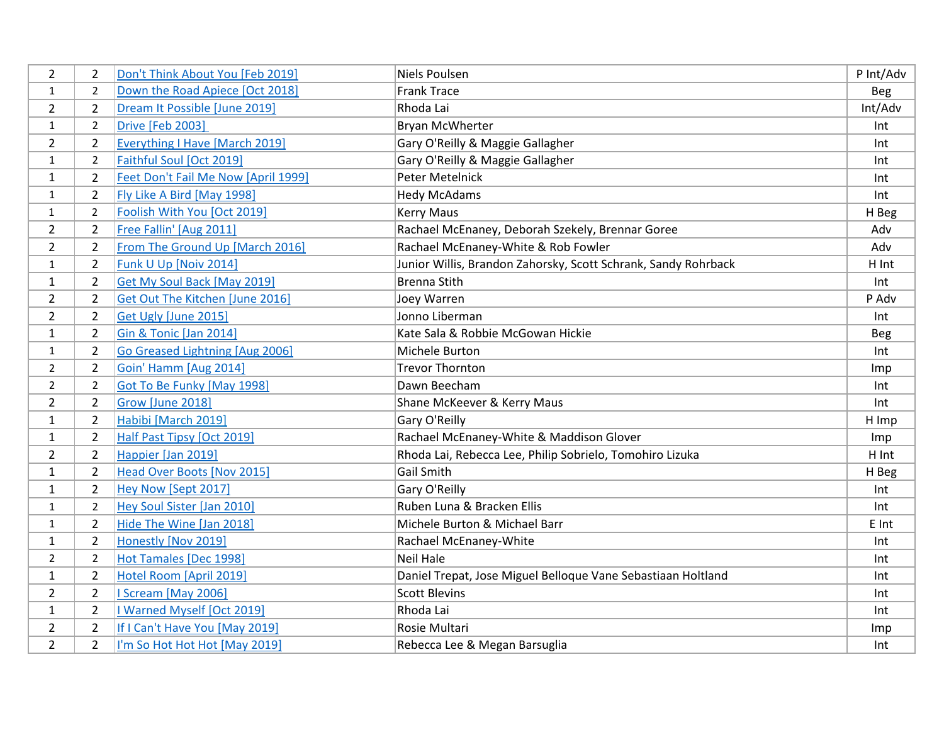| 2              | 2              | Don't Think About You [Feb 2019]      | <b>Niels Poulsen</b>                                           | P Int/Adv  |
|----------------|----------------|---------------------------------------|----------------------------------------------------------------|------------|
| $\mathbf{1}$   | 2              | Down the Road Apiece [Oct 2018]       | <b>Frank Trace</b>                                             | Beg        |
| $\overline{2}$ | $\overline{2}$ | Dream It Possible [June 2019]         | Rhoda Lai                                                      | Int/Adv    |
| $\mathbf{1}$   | $\overline{2}$ | <b>Drive [Feb 2003]</b>               | <b>Bryan McWherter</b>                                         | Int        |
| $\overline{2}$ | $\overline{2}$ | <b>Everything I Have [March 2019]</b> | Gary O'Reilly & Maggie Gallagher                               | Int        |
| $\mathbf{1}$   | $\overline{2}$ | Faithful Soul [Oct 2019]              | Gary O'Reilly & Maggie Gallagher                               | Int        |
| $\mathbf{1}$   | $\overline{2}$ | Feet Don't Fail Me Now [April 1999]   | Peter Metelnick                                                | Int        |
| $\mathbf{1}$   | 2              | Fly Like A Bird [May 1998]            | <b>Hedy McAdams</b>                                            | Int        |
| $\mathbf{1}$   | 2              | Foolish With You [Oct 2019]           | <b>Kerry Maus</b>                                              | H Beg      |
| $\overline{2}$ | $\overline{2}$ | Free Fallin' [Aug 2011]               | Rachael McEnaney, Deborah Szekely, Brennar Goree               | Adv        |
| $\overline{2}$ | $\overline{2}$ | From The Ground Up [March 2016]       | Rachael McEnaney-White & Rob Fowler                            | Adv        |
| $\mathbf{1}$   | 2              | Funk U Up [Noiv 2014]                 | Junior Willis, Brandon Zahorsky, Scott Schrank, Sandy Rohrback | H Int      |
| $\mathbf{1}$   | $\overline{2}$ | Get My Soul Back [May 2019]           | <b>Brenna Stith</b>                                            | Int        |
| $\overline{2}$ | $\overline{2}$ | Get Out The Kitchen [June 2016]       | Joey Warren                                                    | P Adv      |
| $\overline{2}$ | $\overline{2}$ | Get Ugly [June 2015]                  | Jonno Liberman                                                 | Int        |
| $\mathbf{1}$   | $\overline{2}$ | Gin & Tonic [Jan 2014]                | Kate Sala & Robbie McGowan Hickie                              | <b>Beg</b> |
| $\mathbf{1}$   | $\overline{2}$ | Go Greased Lightning [Aug 2006]       | Michele Burton                                                 | Int        |
| $\overline{2}$ | $\overline{2}$ | Goin' Hamm [Aug 2014]                 | <b>Trevor Thornton</b>                                         | Imp        |
| $\overline{2}$ | $\overline{2}$ | <b>Got To Be Funky [May 1998]</b>     | Dawn Beecham                                                   | Int        |
| $\overline{2}$ | $\overline{2}$ | Grow [June 2018]                      | Shane McKeever & Kerry Maus                                    | Int        |
| 1              | $\overline{2}$ | Habibi [March 2019]                   | Gary O'Reilly                                                  | H Imp      |
| $\mathbf{1}$   | $\overline{2}$ | Half Past Tipsy [Oct 2019]            | Rachael McEnaney-White & Maddison Glover                       | Imp        |
| $\overline{2}$ | $\overline{2}$ | Happier [Jan 2019]                    | Rhoda Lai, Rebecca Lee, Philip Sobrielo, Tomohiro Lizuka       | H Int      |
| $\mathbf{1}$   | $\overline{2}$ | Head Over Boots [Nov 2015]            | <b>Gail Smith</b>                                              | H Beg      |
| 1              | $\overline{2}$ | Hey Now [Sept 2017]                   | Gary O'Reilly                                                  | Int        |
| 1              | $\overline{2}$ | Hey Soul Sister [Jan 2010]            | Ruben Luna & Bracken Ellis                                     | Int        |
| $\mathbf{1}$   | 2              | Hide The Wine [Jan 2018]              | Michele Burton & Michael Barr                                  | E Int      |
| $\mathbf{1}$   | $\overline{2}$ | Honestly [Nov 2019]                   | Rachael McEnaney-White                                         | Int        |
| $\overline{2}$ | $\overline{2}$ | Hot Tamales [Dec 1998]                | <b>Neil Hale</b>                                               | Int        |
| $\mathbf{1}$   | $\overline{2}$ | Hotel Room [April 2019]               | Daniel Trepat, Jose Miguel Belloque Vane Sebastiaan Holtland   | Int        |
| $\overline{2}$ | $\overline{2}$ | <b>I Scream [May 2006]</b>            | <b>Scott Blevins</b>                                           | Int        |
| $\mathbf{1}$   | $\overline{2}$ | I Warned Myself [Oct 2019]            | Rhoda Lai                                                      | Int        |
| $\overline{2}$ | $\overline{2}$ | If I Can't Have You [May 2019]        | Rosie Multari                                                  | Imp        |
| $\overline{2}$ | $\overline{2}$ | I'm So Hot Hot Hot [May 2019]         | Rebecca Lee & Megan Barsuglia                                  | Int        |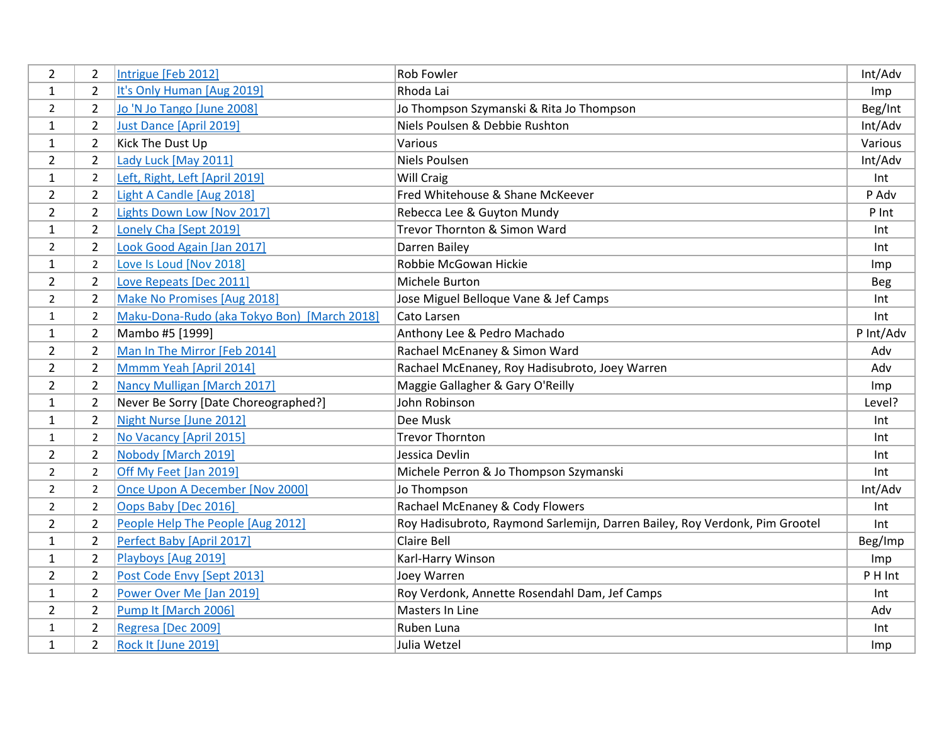| 2              | 2              | Intrigue [Feb 2012]                         | Rob Fowler                                                                  | Int/Adv    |
|----------------|----------------|---------------------------------------------|-----------------------------------------------------------------------------|------------|
| $\mathbf{1}$   | 2              | It's Only Human [Aug 2019]                  | Rhoda Lai                                                                   | Imp        |
| $\overline{2}$ | $\overline{2}$ | Jo 'N Jo Tango [June 2008]                  | Jo Thompson Szymanski & Rita Jo Thompson                                    | Beg/Int    |
| $\mathbf{1}$   | $\overline{2}$ | Just Dance [April 2019]                     | Niels Poulsen & Debbie Rushton                                              | Int/Adv    |
| 1              | $\overline{2}$ | Kick The Dust Up                            | Various                                                                     | Various    |
| $\overline{2}$ | $\overline{2}$ | Lady Luck [May 2011]                        | Niels Poulsen                                                               | Int/Adv    |
| $\mathbf{1}$   | $\overline{2}$ | Left, Right, Left [April 2019]              | Will Craig                                                                  | Int        |
| $\overline{2}$ | $\overline{2}$ | Light A Candle [Aug 2018]                   | Fred Whitehouse & Shane McKeever                                            | P Adv      |
| $\overline{2}$ | $\overline{2}$ | Lights Down Low [Nov 2017]                  | Rebecca Lee & Guyton Mundy                                                  | P Int      |
| $\mathbf{1}$   | $\overline{2}$ | Lonely Cha [Sept 2019]                      | Trevor Thornton & Simon Ward                                                | Int        |
| $\overline{2}$ | $\overline{2}$ | Look Good Again [Jan 2017]                  | Darren Bailey                                                               | Int        |
| $\mathbf{1}$   | $\overline{2}$ | Love Is Loud [Nov 2018]                     | Robbie McGowan Hickie                                                       | Imp        |
| $\overline{2}$ | $\overline{2}$ | Love Repeats [Dec 2011]                     | Michele Burton                                                              | <b>Beg</b> |
| $\overline{2}$ | $\overline{2}$ | Make No Promises [Aug 2018]                 | Jose Miguel Belloque Vane & Jef Camps                                       | Int        |
| $\mathbf{1}$   | 2              | Maku-Dona-Rudo (aka Tokyo Bon) [March 2018] | Cato Larsen                                                                 | Int        |
| $\mathbf{1}$   | $\overline{2}$ | Mambo #5 [1999]                             | Anthony Lee & Pedro Machado                                                 | P Int/Adv  |
| $\overline{2}$ | $\overline{2}$ | Man In The Mirror [Feb 2014]                | Rachael McEnaney & Simon Ward                                               | Adv        |
| $\overline{2}$ | $\overline{2}$ | Mmmm Yeah [April 2014]                      | Rachael McEnaney, Roy Hadisubroto, Joey Warren                              | Adv        |
| $\overline{2}$ | $\overline{2}$ | Nancy Mulligan [March 2017]                 | Maggie Gallagher & Gary O'Reilly                                            | Imp        |
| $\mathbf{1}$   | $\overline{2}$ | Never Be Sorry [Date Choreographed?]        | John Robinson                                                               | Level?     |
| $\mathbf{1}$   | $\overline{2}$ | Night Nurse [June 2012]                     | Dee Musk                                                                    | Int        |
| $\mathbf{1}$   | 2              | No Vacancy [April 2015]                     | <b>Trevor Thornton</b>                                                      | Int        |
| $\overline{2}$ | $\overline{2}$ | Nobody [March 2019]                         | Jessica Devlin                                                              | Int        |
| $\overline{2}$ | $\overline{2}$ | Off My Feet [Jan 2019]                      | Michele Perron & Jo Thompson Szymanski                                      | Int        |
| $\overline{2}$ | $\overline{2}$ | Once Upon A December [Nov 2000]             | Jo Thompson                                                                 | Int/Adv    |
| $\overline{2}$ | $\overline{2}$ | Oops Baby [Dec 2016]                        | Rachael McEnaney & Cody Flowers                                             | Int        |
| $\overline{2}$ | $\overline{2}$ | People Help The People [Aug 2012]           | Roy Hadisubroto, Raymond Sarlemijn, Darren Bailey, Roy Verdonk, Pim Grootel | Int        |
| $\mathbf{1}$   | $\overline{2}$ | Perfect Baby [April 2017]                   | <b>Claire Bell</b>                                                          | Beg/Imp    |
| $\mathbf{1}$   | $\overline{2}$ | Playboys [Aug 2019]                         | Karl-Harry Winson                                                           | Imp        |
| $\overline{2}$ | $\overline{2}$ | Post Code Envy [Sept 2013]                  | Joey Warren                                                                 | P H Int    |
| 1              | $\overline{2}$ | Power Over Me [Jan 2019]                    | Roy Verdonk, Annette Rosendahl Dam, Jef Camps                               | Int        |
| $\overline{2}$ | $\overline{2}$ | Pump It [March 2006]                        | Masters In Line                                                             | Adv        |
| $\mathbf{1}$   | $\overline{2}$ | Regresa [Dec 2009]                          | Ruben Luna                                                                  | Int        |
| $\mathbf{1}$   | $\overline{2}$ | Rock It [June 2019]                         | Julia Wetzel                                                                | Imp        |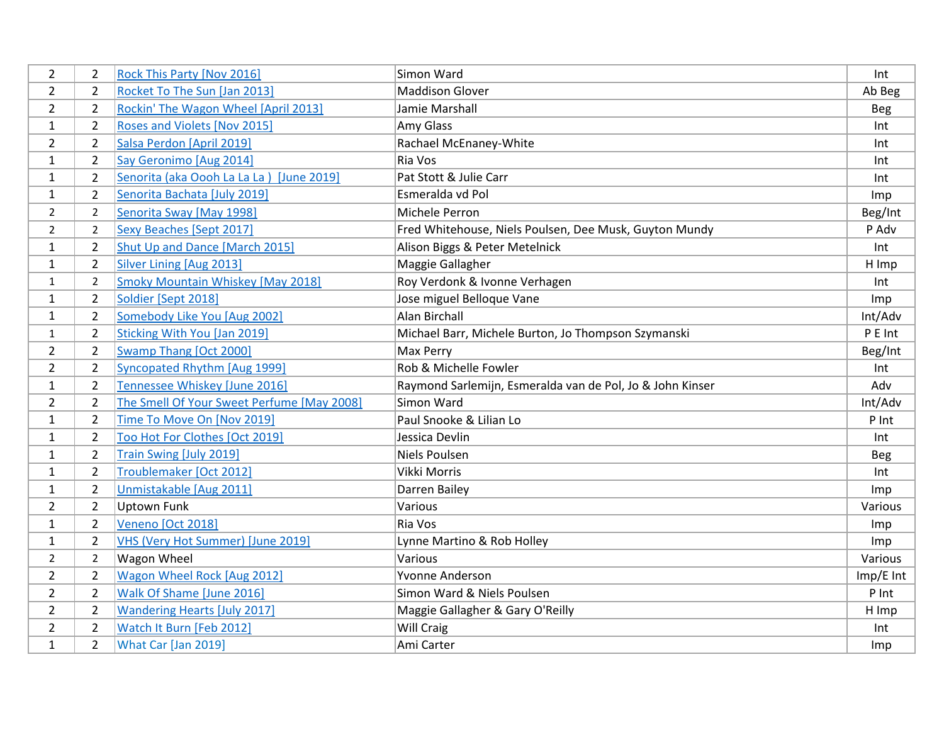| $\overline{2}$ | $\overline{2}$ | Rock This Party [Nov 2016]                 | Simon Ward                                                | Int         |
|----------------|----------------|--------------------------------------------|-----------------------------------------------------------|-------------|
| $\overline{2}$ | $\overline{2}$ | Rocket To The Sun [Jan 2013]               | <b>Maddison Glover</b>                                    | Ab Beg      |
| $\overline{2}$ | $\overline{2}$ | Rockin' The Wagon Wheel [April 2013]       | Jamie Marshall                                            | Beg         |
| $\mathbf{1}$   | $\overline{2}$ | Roses and Violets [Nov 2015]               | Amy Glass                                                 | Int         |
| $\overline{2}$ | $\overline{2}$ | Salsa Perdon [April 2019]                  | Rachael McEnaney-White                                    | Int         |
| 1              | $\overline{2}$ | Say Geronimo [Aug 2014]                    | Ria Vos                                                   | Int         |
| $\mathbf{1}$   | $\overline{2}$ | Senorita (aka Oooh La La La) [June 2019]   | Pat Stott & Julie Carr                                    | Int         |
| $\mathbf{1}$   | $\overline{2}$ | Senorita Bachata [July 2019]               | Esmeralda vd Pol                                          | Imp         |
| $\overline{2}$ | 2              | Senorita Sway [May 1998]                   | Michele Perron                                            | Beg/Int     |
| $\overline{2}$ | 2              | Sexy Beaches [Sept 2017]                   | Fred Whitehouse, Niels Poulsen, Dee Musk, Guyton Mundy    | P Adv       |
| 1              | $\overline{2}$ | Shut Up and Dance [March 2015]             | Alison Biggs & Peter Metelnick                            | Int         |
| $\mathbf{1}$   | $\overline{2}$ | Silver Lining [Aug 2013]                   | Maggie Gallagher                                          | H Imp       |
| $\mathbf{1}$   | $\overline{2}$ | <b>Smoky Mountain Whiskey [May 2018]</b>   | Roy Verdonk & Ivonne Verhagen                             | Int         |
| $\mathbf{1}$   | $\overline{2}$ | Soldier [Sept 2018]                        | Jose miguel Belloque Vane                                 | Imp         |
| $\mathbf{1}$   | $\overline{2}$ | Somebody Like You [Aug 2002]               | Alan Birchall                                             | Int/Adv     |
| $\mathbf{1}$   | $\overline{2}$ | <b>Sticking With You [Jan 2019]</b>        | Michael Barr, Michele Burton, Jo Thompson Szymanski       | P E Int     |
| $\overline{2}$ | $\overline{2}$ | Swamp Thang [Oct 2000]                     | Max Perry                                                 | Beg/Int     |
| $\overline{2}$ | $\overline{2}$ | Syncopated Rhythm [Aug 1999]               | Rob & Michelle Fowler                                     | Int         |
| $\mathbf{1}$   | $\overline{2}$ | Tennessee Whiskey [June 2016]              | Raymond Sarlemijn, Esmeralda van de Pol, Jo & John Kinser | Adv         |
| $\overline{2}$ | 2              | The Smell Of Your Sweet Perfume [May 2008] | Simon Ward                                                | Int/Adv     |
| 1              | $\overline{2}$ | Time To Move On [Nov 2019]                 | Paul Snooke & Lilian Lo                                   | P Int       |
| 1              | $\overline{2}$ | Too Hot For Clothes [Oct 2019]             | Jessica Devlin                                            | Int         |
| $\mathbf{1}$   | $\overline{2}$ | Train Swing [July 2019]                    | <b>Niels Poulsen</b>                                      | <b>Beg</b>  |
| $\mathbf{1}$   | $\overline{2}$ | Troublemaker [Oct 2012]                    | Vikki Morris                                              | Int         |
| $\mathbf{1}$   | $\overline{2}$ | Unmistakable [Aug 2011]                    | Darren Bailey                                             | Imp         |
| $\overline{2}$ | $\overline{2}$ | <b>Uptown Funk</b>                         | Various                                                   | Various     |
| 1              | $\overline{2}$ | Veneno [Oct 2018]                          | Ria Vos                                                   | Imp         |
| $\mathbf{1}$   | $\overline{2}$ | VHS (Very Hot Summer) [June 2019]          | Lynne Martino & Rob Holley                                | Imp         |
| $\overline{2}$ | $\overline{2}$ | Wagon Wheel                                | Various                                                   | Various     |
| $\overline{2}$ | $\overline{2}$ | <b>Wagon Wheel Rock [Aug 2012]</b>         | Yvonne Anderson                                           | $Imp/E$ Int |
| $\overline{2}$ | $\overline{2}$ | Walk Of Shame [June 2016]                  | Simon Ward & Niels Poulsen                                | P Int       |
| $\overline{2}$ | $\overline{2}$ | <b>Wandering Hearts [July 2017]</b>        | Maggie Gallagher & Gary O'Reilly                          | H Imp       |
| $\overline{2}$ | $\overline{2}$ | Watch It Burn [Feb 2012]                   | <b>Will Craig</b>                                         | Int         |
| $\mathbf{1}$   | $\overline{2}$ | What Car [Jan 2019]                        | Ami Carter                                                | Imp         |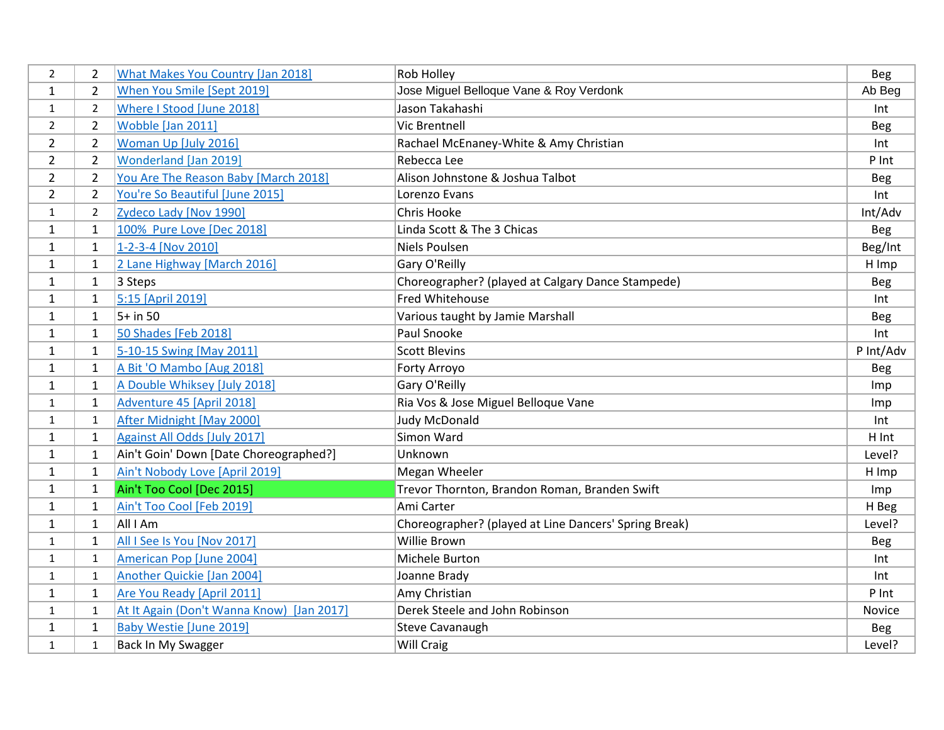| $\overline{2}$ | 2              | <b>What Makes You Country [Jan 2018]</b>  | Rob Holley                                            | <b>Beg</b>    |
|----------------|----------------|-------------------------------------------|-------------------------------------------------------|---------------|
| 1              | $\overline{2}$ | When You Smile [Sept 2019]                | Jose Miguel Belloque Vane & Roy Verdonk               | Ab Beg        |
| $\mathbf{1}$   | $\overline{2}$ | Where I Stood [June 2018]                 | Jason Takahashi                                       | Int           |
| $\overline{2}$ | $\overline{2}$ | Wobble [Jan 2011]                         | <b>Vic Brentnell</b>                                  | <b>Beg</b>    |
| $\overline{2}$ | $\overline{2}$ | Woman Up [July 2016]                      | Rachael McEnaney-White & Amy Christian                | Int           |
| $\overline{2}$ | $\overline{2}$ | <b>Wonderland [Jan 2019]</b>              | Rebecca Lee                                           | P Int         |
| $\overline{2}$ | $\overline{2}$ | You Are The Reason Baby [March 2018]      | Alison Johnstone & Joshua Talbot                      | Beg           |
| $\overline{2}$ | $\overline{2}$ | You're So Beautiful [June 2015]           | Lorenzo Evans                                         | Int           |
| $\mathbf{1}$   | $\overline{2}$ | Zydeco Lady [Nov 1990]                    | Chris Hooke                                           | Int/Adv       |
| $\mathbf{1}$   | $\mathbf{1}$   | 100% Pure Love [Dec 2018]                 | Linda Scott & The 3 Chicas                            | <b>Beg</b>    |
| 1              | 1              | 1-2-3-4 [Nov 2010]                        | Niels Poulsen                                         | Beg/Int       |
| $\mathbf{1}$   | 1              | 2 Lane Highway [March 2016]               | Gary O'Reilly                                         | H Imp         |
| $\mathbf{1}$   | 1              | 3 Steps                                   | Choreographer? (played at Calgary Dance Stampede)     | <b>Beg</b>    |
| $\mathbf{1}$   | $\mathbf{1}$   | 5:15 [April 2019]                         | Fred Whitehouse                                       | Int           |
| 1              | $\mathbf{1}$   | $5+$ in 50                                | Various taught by Jamie Marshall                      | <b>Beg</b>    |
| 1              | $\mathbf 1$    | 50 Shades [Feb 2018]                      | Paul Snooke                                           | Int           |
| $\mathbf{1}$   | $\mathbf{1}$   | 5-10-15 Swing [May 2011]                  | <b>Scott Blevins</b>                                  | P Int/Adv     |
| $\mathbf{1}$   | $\mathbf{1}$   | A Bit 'O Mambo [Aug 2018]                 | Forty Arroyo                                          | <b>Beg</b>    |
| $\mathbf{1}$   | $\mathbf{1}$   | A Double Whiksey [July 2018]              | Gary O'Reilly                                         | Imp           |
| $\mathbf{1}$   | $\mathbf{1}$   | Adventure 45 [April 2018]                 | Ria Vos & Jose Miguel Belloque Vane                   | Imp           |
| 1              | $\mathbf{1}$   | After Midnight [May 2000]                 | Judy McDonald                                         | Int           |
| $\mathbf{1}$   | $\mathbf{1}$   | <b>Against All Odds [July 2017]</b>       | Simon Ward                                            | H Int         |
| $\mathbf{1}$   | 1              | Ain't Goin' Down [Date Choreographed?]    | Unknown                                               | Level?        |
| $\mathbf{1}$   | $\mathbf{1}$   | Ain't Nobody Love [April 2019]            | Megan Wheeler                                         | H Imp         |
| 1              | $\mathbf{1}$   | Ain't Too Cool [Dec 2015]                 | Trevor Thornton, Brandon Roman, Branden Swift         | Imp           |
| 1              | $\mathbf 1$    | Ain't Too Cool [Feb 2019]                 | Ami Carter                                            | H Beg         |
| $\mathbf{1}$   | 1              | All I Am                                  | Choreographer? (played at Line Dancers' Spring Break) | Level?        |
| $\mathbf{1}$   | 1              | All I See Is You [Nov 2017]               | Willie Brown                                          | <b>Beg</b>    |
| $\mathbf{1}$   | $\mathbf{1}$   | American Pop [June 2004]                  | Michele Burton                                        | Int           |
| $\mathbf{1}$   | 1              | Another Quickie [Jan 2004]                | Joanne Brady                                          | Int           |
| $\mathbf{1}$   | $\mathbf 1$    | Are You Ready [April 2011]                | Amy Christian                                         | P Int         |
| $\mathbf{1}$   | 1              | At It Again (Don't Wanna Know) [Jan 2017] | Derek Steele and John Robinson                        | <b>Novice</b> |
| $\mathbf{1}$   | 1              | <b>Baby Westie [June 2019]</b>            | <b>Steve Cavanaugh</b>                                | Beg           |
| $\mathbf{1}$   | 1              | Back In My Swagger                        | Will Craig                                            | Level?        |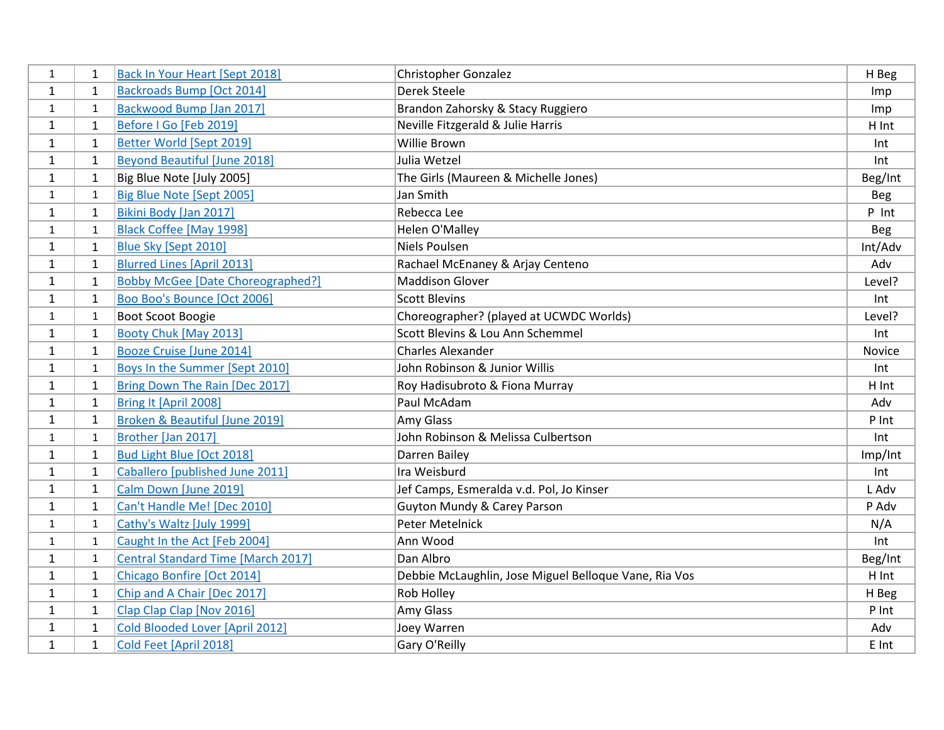| $\mathbf{1}$ | 1            | Back In Your Heart [Sept 2018]            | <b>Christopher Gonzalez</b>                           | H Beg         |
|--------------|--------------|-------------------------------------------|-------------------------------------------------------|---------------|
| 1            | $\mathbf{1}$ | <b>Backroads Bump [Oct 2014]</b>          | Derek Steele                                          | Imp           |
| $\mathbf{1}$ | $\mathbf{1}$ | Backwood Bump [Jan 2017]                  | Brandon Zahorsky & Stacy Ruggiero                     | Imp           |
| $\mathbf{1}$ | $\mathbf{1}$ | Before I Go [Feb 2019]                    | Neville Fitzgerald & Julie Harris                     | H Int         |
| $\mathbf{1}$ | $\mathbf{1}$ | <b>Better World [Sept 2019]</b>           | Willie Brown                                          | Int           |
| $\mathbf{1}$ | $\mathbf{1}$ | <b>Beyond Beautiful [June 2018]</b>       | Julia Wetzel                                          | Int           |
| $\mathbf{1}$ | $\mathbf{1}$ | Big Blue Note [July 2005]                 | The Girls (Maureen & Michelle Jones)                  | Beg/Int       |
| $\mathbf{1}$ | $\mathbf{1}$ | Big Blue Note [Sept 2005]                 | Jan Smith                                             | Beg           |
| $\mathbf{1}$ | $\mathbf{1}$ | Bikini Body [Jan 2017]                    | Rebecca Lee                                           | P Int         |
| $\mathbf{1}$ | $\mathbf{1}$ | <b>Black Coffee [May 1998]</b>            | Helen O'Malley                                        | Beg           |
| $\mathbf{1}$ | $\mathbf{1}$ | Blue Sky [Sept 2010]                      | <b>Niels Poulsen</b>                                  | Int/Adv       |
| $\mathbf{1}$ | $\mathbf{1}$ | <b>Blurred Lines [April 2013]</b>         | Rachael McEnaney & Arjay Centeno                      | Adv           |
| $\mathbf{1}$ | $\mathbf{1}$ | <b>Bobby McGee [Date Choreographed?]</b>  | <b>Maddison Glover</b>                                | Level?        |
| $\mathbf{1}$ | $\mathbf{1}$ | Boo Boo's Bounce [Oct 2006]               | <b>Scott Blevins</b>                                  | Int           |
| $\mathbf{1}$ | $\mathbf{1}$ | Boot Scoot Boogie                         | Choreographer? (played at UCWDC Worlds)               | Level?        |
| $\mathbf{1}$ | $\mathbf{1}$ | Booty Chuk [May 2013]                     | Scott Blevins & Lou Ann Schemmel                      | Int           |
| $\mathbf{1}$ | $\mathbf{1}$ | Booze Cruise [June 2014]                  | <b>Charles Alexander</b>                              | <b>Novice</b> |
| $\mathbf{1}$ | $\mathbf{1}$ | Boys In the Summer [Sept 2010]            | John Robinson & Junior Willis                         | Int           |
| $\mathbf{1}$ | $\mathbf{1}$ | Bring Down The Rain [Dec 2017]            | Roy Hadisubroto & Fiona Murray                        | H Int         |
| $\mathbf{1}$ | $\mathbf{1}$ | Bring It [April 2008]                     | Paul McAdam                                           | Adv           |
| $\mathbf{1}$ | 1            | Broken & Beautiful [June 2019]            | Amy Glass                                             | P Int         |
| $\mathbf{1}$ | $\mathbf{1}$ | Brother [Jan 2017]                        | John Robinson & Melissa Culbertson                    | Int           |
| $\mathbf{1}$ | 1            | Bud Light Blue [Oct 2018]                 | Darren Bailey                                         | Imp/Int       |
| $\mathbf{1}$ | $\mathbf{1}$ | Caballero [published June 2011]           | Ira Weisburd                                          | Int           |
| $\mathbf{1}$ | $\mathbf{1}$ | Calm Down [June 2019]                     | Jef Camps, Esmeralda v.d. Pol, Jo Kinser              | L Adv         |
| $\mathbf{1}$ | 1            | Can't Handle Me! [Dec 2010]               | Guyton Mundy & Carey Parson                           | P Adv         |
| $\mathbf{1}$ | $\mathbf{1}$ | Cathy's Waltz [July 1999]                 | Peter Metelnick                                       | N/A           |
| $\mathbf{1}$ | $\mathbf{1}$ | Caught In the Act [Feb 2004]              | Ann Wood                                              | Int           |
| $\mathbf{1}$ | $\mathbf{1}$ | <b>Central Standard Time [March 2017]</b> | Dan Albro                                             | Beg/Int       |
| $\mathbf{1}$ | $\mathbf{1}$ | Chicago Bonfire [Oct 2014]                | Debbie McLaughlin, Jose Miguel Belloque Vane, Ria Vos | H Int         |
| 1            | 1            | Chip and A Chair [Dec 2017]               | Rob Holley                                            | H Beg         |
| $\mathbf{1}$ | $\mathbf{1}$ | Clap Clap Clap [Nov 2016]                 | Amy Glass                                             | P Int         |
| $\mathbf{1}$ | $\mathbf{1}$ | Cold Blooded Lover [April 2012]           | Joey Warren                                           | Adv           |
| $\mathbf{1}$ | $\mathbf{1}$ | Cold Feet [April 2018]                    | Gary O'Reilly                                         | E Int         |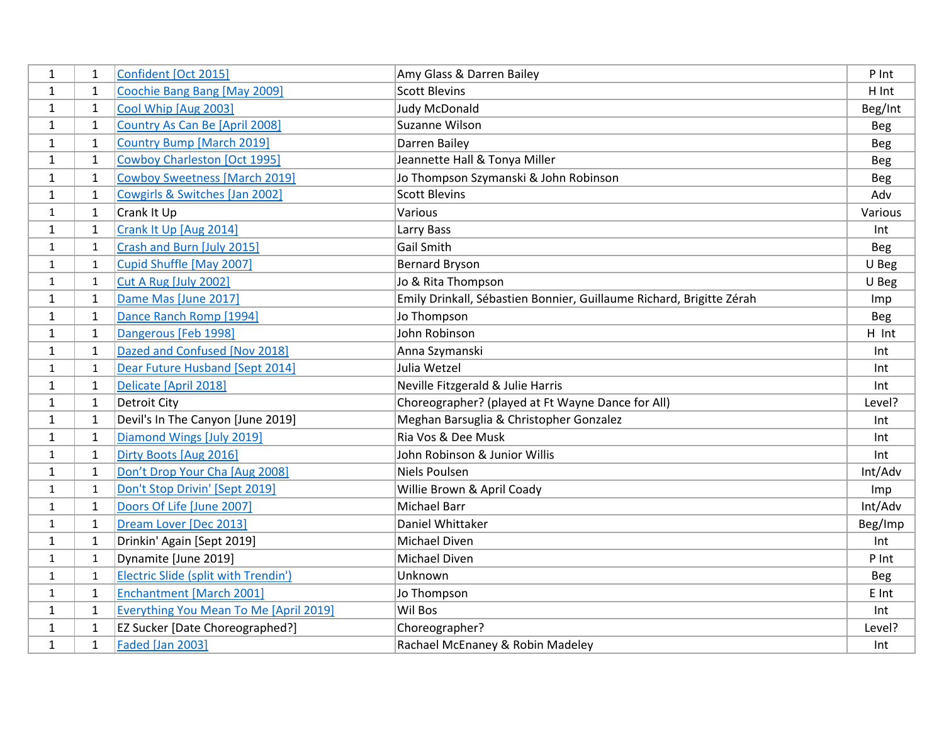| 1            | $\mathbf{1}$ | Confident [Oct 2015]                          | Amy Glass & Darren Bailey                                            | P Int      |
|--------------|--------------|-----------------------------------------------|----------------------------------------------------------------------|------------|
| $\mathbf{1}$ | 1            | Coochie Bang Bang [May 2009]                  | <b>Scott Blevins</b>                                                 | H Int      |
| $\mathbf{1}$ | $\mathbf{1}$ | Cool Whip [Aug 2003]                          | <b>Judy McDonald</b>                                                 | Beg/Int    |
| $\mathbf{1}$ | $\mathbf{1}$ | Country As Can Be [April 2008]                | Suzanne Wilson                                                       | <b>Beg</b> |
| $\mathbf{1}$ | $\mathbf{1}$ | <b>Country Bump [March 2019]</b>              | Darren Bailey                                                        | <b>Beg</b> |
| $\mathbf{1}$ | $\mathbf{1}$ | <b>Cowboy Charleston [Oct 1995]</b>           | Jeannette Hall & Tonya Miller                                        | Beg        |
| 1            | 1            | <b>Cowboy Sweetness [March 2019]</b>          | Jo Thompson Szymanski & John Robinson                                | Beg        |
| $\mathbf{1}$ | $\mathbf{1}$ | Cowgirls & Switches [Jan 2002]                | <b>Scott Blevins</b>                                                 | Adv        |
| $\mathbf{1}$ | $\mathbf{1}$ | Crank It Up                                   | Various                                                              | Various    |
| $\mathbf{1}$ | $\mathbf{1}$ | Crank It Up [Aug 2014]                        | Larry Bass                                                           | Int        |
| $\mathbf{1}$ | $\mathbf{1}$ | Crash and Burn [July 2015]                    | <b>Gail Smith</b>                                                    | <b>Beg</b> |
| $\mathbf{1}$ | $\mathbf{1}$ | Cupid Shuffle [May 2007]                      | <b>Bernard Bryson</b>                                                | U Beg      |
| $\mathbf{1}$ | $\mathbf{1}$ | Cut A Rug [July 2002]                         | Jo & Rita Thompson                                                   | U Beg      |
| $\mathbf{1}$ | $\mathbf{1}$ | Dame Mas [June 2017]                          | Emily Drinkall, Sébastien Bonnier, Guillaume Richard, Brigitte Zérah | Imp        |
| $\mathbf{1}$ | $\mathbf{1}$ | Dance Ranch Romp [1994]                       | Jo Thompson                                                          | Beg        |
| $\mathbf{1}$ | $\mathbf{1}$ | Dangerous [Feb 1998]                          | John Robinson                                                        | H Int      |
| $\mathbf{1}$ | $\mathbf{1}$ | Dazed and Confused [Nov 2018]                 | Anna Szymanski                                                       | Int        |
| $\mathbf{1}$ | 1            | Dear Future Husband [Sept 2014]               | Julia Wetzel                                                         | Int        |
| $\mathbf{1}$ | $\mathbf{1}$ | Delicate [April 2018]                         | Neville Fitzgerald & Julie Harris                                    | Int        |
| $\mathbf{1}$ | $\mathbf{1}$ | <b>Detroit City</b>                           | Choreographer? (played at Ft Wayne Dance for All)                    | Level?     |
| $\mathbf{1}$ | $\mathbf{1}$ | Devil's In The Canyon [June 2019]             | Meghan Barsuglia & Christopher Gonzalez                              | Int        |
| $\mathbf{1}$ | $\mathbf{1}$ | Diamond Wings [July 2019]                     | Ria Vos & Dee Musk                                                   | Int        |
| $\mathbf{1}$ | $\mathbf{1}$ | Dirty Boots [Aug 2016]                        | John Robinson & Junior Willis                                        | Int        |
| $\mathbf{1}$ | $\mathbf{1}$ | Don't Drop Your Cha [Aug 2008]                | Niels Poulsen                                                        | Int/Adv    |
| $\mathbf{1}$ | $\mathbf{1}$ | Don't Stop Drivin' [Sept 2019]                | Willie Brown & April Coady                                           | Imp        |
| $\mathbf{1}$ | $\mathbf{1}$ | Doors Of Life [June 2007]                     | Michael Barr                                                         | Int/Adv    |
| $\mathbf{1}$ | $\mathbf{1}$ | Dream Lover [Dec 2013]                        | Daniel Whittaker                                                     | Beg/Imp    |
| $\mathbf{1}$ | $\mathbf{1}$ | Drinkin' Again [Sept 2019]                    | Michael Diven                                                        | Int        |
| $\mathbf{1}$ | $\mathbf{1}$ | Dynamite [June 2019]                          | Michael Diven                                                        | P Int      |
| $\mathbf{1}$ | $\mathbf{1}$ | Electric Slide (split with Trendin')          | Unknown                                                              | Beg        |
| 1            | $\mathbf{1}$ | <b>Enchantment [March 2001]</b>               | Jo Thompson                                                          | E Int      |
| $\mathbf{1}$ | $\mathbf{1}$ | <b>Everything You Mean To Me [April 2019]</b> | Wil Bos                                                              | Int        |
| $\mathbf{1}$ | $\mathbf{1}$ | EZ Sucker [Date Choreographed?]               | Choreographer?                                                       | Level?     |
| $\mathbf{1}$ | $\mathbf{1}$ | <b>Faded [Jan 2003]</b>                       | Rachael McEnaney & Robin Madeley                                     | Int        |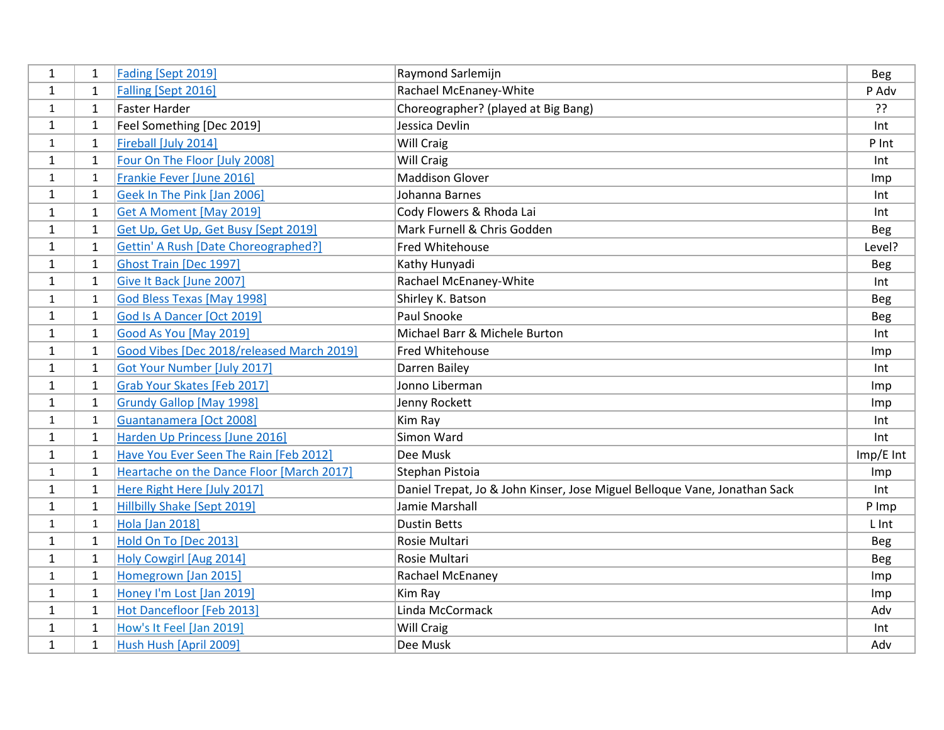| $\mathbf{1}$ | 1            | Fading [Sept 2019]                          | Raymond Sarlemijn                                                         | Beg        |
|--------------|--------------|---------------------------------------------|---------------------------------------------------------------------------|------------|
| 1            | $\mathbf{1}$ | Falling [Sept 2016]                         | Rachael McEnaney-White                                                    | P Adv      |
| $\mathbf{1}$ | $\mathbf{1}$ | <b>Faster Harder</b>                        | Choreographer? (played at Big Bang)                                       | ַיִּ       |
| $\mathbf{1}$ | 1            | Feel Something [Dec 2019]                   | Jessica Devlin                                                            | Int        |
| $\mathbf{1}$ | $\mathbf{1}$ | Fireball [July 2014]                        | Will Craig                                                                | P Int      |
| $\mathbf{1}$ | $\mathbf{1}$ | Four On The Floor [July 2008]               | <b>Will Craig</b>                                                         | Int        |
| $\mathbf{1}$ | $\mathbf{1}$ | Frankie Fever [June 2016]                   | <b>Maddison Glover</b>                                                    | Imp        |
| $\mathbf{1}$ | 1            | Geek In The Pink [Jan 2006]                 | Johanna Barnes                                                            | Int        |
| $\mathbf{1}$ | $\mathbf{1}$ | Get A Moment [May 2019]                     | Cody Flowers & Rhoda Lai                                                  | Int        |
| $\mathbf{1}$ | $\mathbf{1}$ | Get Up, Get Up, Get Busy [Sept 2019]        | Mark Furnell & Chris Godden                                               | <b>Beg</b> |
| $\mathbf{1}$ | $\mathbf{1}$ | <b>Gettin' A Rush [Date Choreographed?]</b> | <b>Fred Whitehouse</b>                                                    | Level?     |
| $\mathbf{1}$ | $\mathbf{1}$ | Ghost Train [Dec 1997]                      | Kathy Hunyadi                                                             | <b>Beg</b> |
| $\mathbf{1}$ | $\mathbf{1}$ | Give It Back [June 2007]                    | Rachael McEnaney-White                                                    | Int        |
| $\mathbf{1}$ | 1            | God Bless Texas [May 1998]                  | Shirley K. Batson                                                         | <b>Beg</b> |
| $\mathbf{1}$ | $\mathbf{1}$ | God Is A Dancer [Oct 2019]                  | Paul Snooke                                                               | <b>Beg</b> |
| 1            | 1            | Good As You [May 2019]                      | Michael Barr & Michele Burton                                             | Int        |
| $\mathbf{1}$ | $\mathbf{1}$ | Good Vibes [Dec 2018/released March 2019]   | Fred Whitehouse                                                           | Imp        |
| $\mathbf{1}$ | $\mathbf{1}$ | Got Your Number [July 2017]                 | Darren Bailey                                                             | Int        |
| $\mathbf{1}$ | $\mathbf{1}$ | Grab Your Skates [Feb 2017]                 | Jonno Liberman                                                            | Imp        |
| 1            | 1            | <b>Grundy Gallop [May 1998]</b>             | Jenny Rockett                                                             | Imp        |
| $\mathbf{1}$ | $\mathbf{1}$ | Guantanamera [Oct 2008]                     | Kim Ray                                                                   | Int        |
| $\mathbf{1}$ | $\mathbf{1}$ | Harden Up Princess [June 2016]              | Simon Ward                                                                | Int        |
| $\mathbf{1}$ | 1            | Have You Ever Seen The Rain [Feb 2012]      | Dee Musk                                                                  | Imp/E Int  |
| $\mathbf{1}$ | $\mathbf{1}$ | Heartache on the Dance Floor [March 2017]   | Stephan Pistoia                                                           | Imp        |
| 1            | $\mathbf{1}$ | Here Right Here [July 2017]                 | Daniel Trepat, Jo & John Kinser, Jose Miguel Belloque Vane, Jonathan Sack | Int        |
| $\mathbf{1}$ | $\mathbf{1}$ | <b>Hillbilly Shake [Sept 2019]</b>          | Jamie Marshall                                                            | P Imp      |
| $\mathbf{1}$ | $\mathbf{1}$ | <b>Hola [Jan 2018]</b>                      | <b>Dustin Betts</b>                                                       | L Int      |
| $\mathbf{1}$ | $\mathbf{1}$ | Hold On To [Dec 2013]                       | Rosie Multari                                                             | <b>Beg</b> |
| $\mathbf{1}$ | $\mathbf{1}$ | Holy Cowgirl [Aug 2014]                     | Rosie Multari                                                             | <b>Beg</b> |
| 1            | $\mathbf{1}$ | Homegrown [Jan 2015]                        | Rachael McEnaney                                                          | Imp        |
| 1            | $\mathbf{1}$ | Honey I'm Lost [Jan 2019]                   | Kim Ray                                                                   | Imp        |
| $\mathbf{1}$ | $\mathbf{1}$ | Hot Dancefloor [Feb 2013]                   | Linda McCormack                                                           | Adv        |
| $\mathbf{1}$ | $\mathbf{1}$ | How's It Feel [Jan 2019]                    | Will Craig                                                                | Int        |
| $\mathbf{1}$ | $\mathbf{1}$ | Hush Hush [April 2009]                      | Dee Musk                                                                  | Adv        |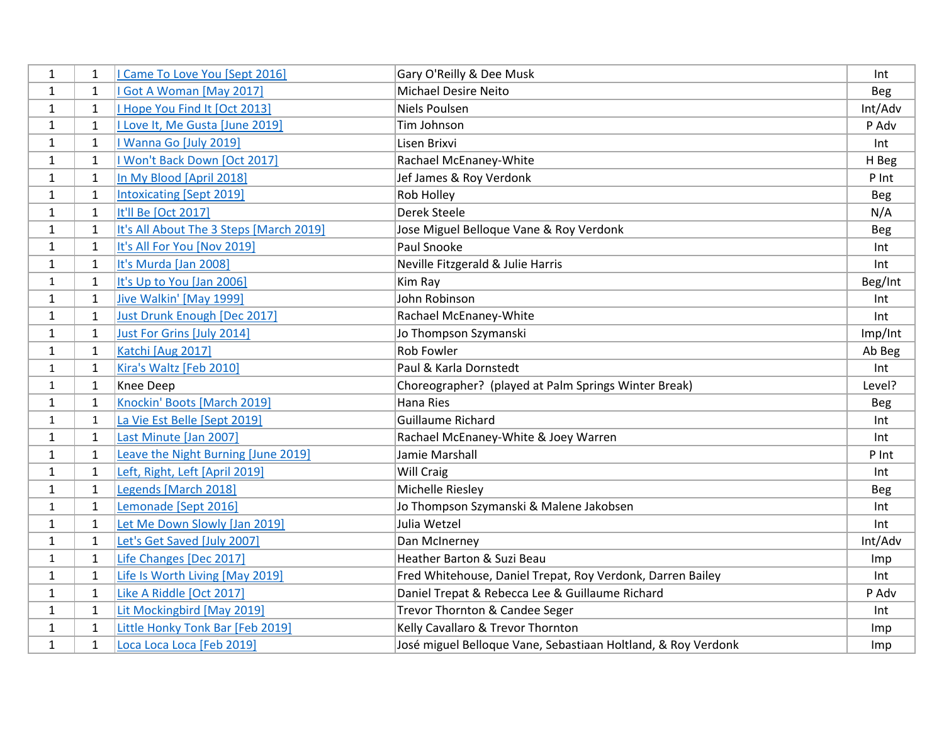| $\mathbf{1}$ | 1            | I Came To Love You [Sept 2016]          | Gary O'Reilly & Dee Musk                                      | Int     |
|--------------|--------------|-----------------------------------------|---------------------------------------------------------------|---------|
| 1            | 1            | Got A Woman [May 2017]                  | <b>Michael Desire Neito</b>                                   | Beg     |
| $\mathbf{1}$ | $\mathbf{1}$ | I Hope You Find It [Oct 2013]           | Niels Poulsen                                                 | Int/Adv |
| $\mathbf{1}$ | 1            | I Love It, Me Gusta [June 2019]         | Tim Johnson                                                   | P Adv   |
| $\mathbf{1}$ | $\mathbf{1}$ | I Wanna Go [July 2019]                  | Lisen Brixvi                                                  | Int     |
| $\mathbf{1}$ | $\mathbf{1}$ | I Won't Back Down [Oct 2017]            | Rachael McEnaney-White                                        | H Beg   |
| $\mathbf{1}$ | $\mathbf{1}$ | In My Blood [April 2018]                | Jef James & Roy Verdonk                                       | P Int   |
| $\mathbf{1}$ | $\mathbf{1}$ | <b>Intoxicating [Sept 2019]</b>         | Rob Holley                                                    | Beg     |
| $\mathbf{1}$ | $\mathbf{1}$ | It'll Be [Oct 2017]                     | Derek Steele                                                  | N/A     |
| $\mathbf{1}$ | $\mathbf{1}$ | It's All About The 3 Steps [March 2019] | Jose Miguel Belloque Vane & Roy Verdonk                       | Beg     |
| $\mathbf{1}$ | $\mathbf{1}$ | It's All For You [Nov 2019]             | Paul Snooke                                                   | Int     |
| $\mathbf{1}$ | $\mathbf{1}$ | It's Murda [Jan 2008]                   | Neville Fitzgerald & Julie Harris                             | Int     |
| $\mathbf{1}$ | $\mathbf{1}$ | It's Up to You [Jan 2006]               | Kim Ray                                                       | Beg/Int |
| $\mathbf{1}$ | $\mathbf{1}$ | Jive Walkin' [May 1999]                 | John Robinson                                                 | Int     |
| $\mathbf{1}$ | $\mathbf{1}$ | Just Drunk Enough [Dec 2017]            | Rachael McEnaney-White                                        | Int     |
| 1            | $\mathbf{1}$ | Just For Grins [July 2014]              | Jo Thompson Szymanski                                         | Imp/Int |
| $\mathbf{1}$ | $\mathbf{1}$ | Katchi [Aug 2017]                       | Rob Fowler                                                    | Ab Beg  |
| $\mathbf{1}$ | $\mathbf{1}$ | Kira's Waltz [Feb 2010]                 | Paul & Karla Dornstedt                                        | Int     |
| $\mathbf{1}$ | $\mathbf{1}$ | Knee Deep                               | Choreographer? (played at Palm Springs Winter Break)          | Level?  |
| $\mathbf{1}$ | 1            | Knockin' Boots [March 2019]             | Hana Ries                                                     | Beg     |
| $\mathbf{1}$ | $\mathbf{1}$ | La Vie Est Belle [Sept 2019]            | Guillaume Richard                                             | Int     |
| $\mathbf{1}$ | $\mathbf{1}$ | Last Minute [Jan 2007]                  | Rachael McEnaney-White & Joey Warren                          | Int     |
| $\mathbf{1}$ | 1            | Leave the Night Burning [June 2019]     | Jamie Marshall                                                | P Int   |
| $\mathbf{1}$ | $\mathbf{1}$ | Left, Right, Left [April 2019]          | Will Craig                                                    | Int     |
| 1            | $\mathbf{1}$ | Legends [March 2018]                    | Michelle Riesley                                              | Beg     |
| 1            | $\mathbf{1}$ | Lemonade [Sept 2016]                    | Jo Thompson Szymanski & Malene Jakobsen                       | Int     |
| $\mathbf{1}$ | $\mathbf{1}$ | Let Me Down Slowly [Jan 2019]           | Julia Wetzel                                                  | Int     |
| $\mathbf{1}$ | $\mathbf{1}$ | Let's Get Saved [July 2007]             | Dan McInerney                                                 | Int/Adv |
| $\mathbf{1}$ | $\mathbf{1}$ | Life Changes [Dec 2017]                 | Heather Barton & Suzi Beau                                    | Imp     |
| 1            | $\mathbf{1}$ | Life Is Worth Living [May 2019]         | Fred Whitehouse, Daniel Trepat, Roy Verdonk, Darren Bailey    | Int     |
| 1            | $\mathbf{1}$ | Like A Riddle [Oct 2017]                | Daniel Trepat & Rebecca Lee & Guillaume Richard               | P Adv   |
| $\mathbf{1}$ | $\mathbf{1}$ | Lit Mockingbird [May 2019]              | Trevor Thornton & Candee Seger                                | Int     |
| $\mathbf{1}$ | 1            | Little Honky Tonk Bar [Feb 2019]        | Kelly Cavallaro & Trevor Thornton                             | Imp     |
| $\mathbf{1}$ | $\mathbf{1}$ | Loca Loca Loca [Feb 2019]               | José miguel Belloque Vane, Sebastiaan Holtland, & Roy Verdonk | Imp     |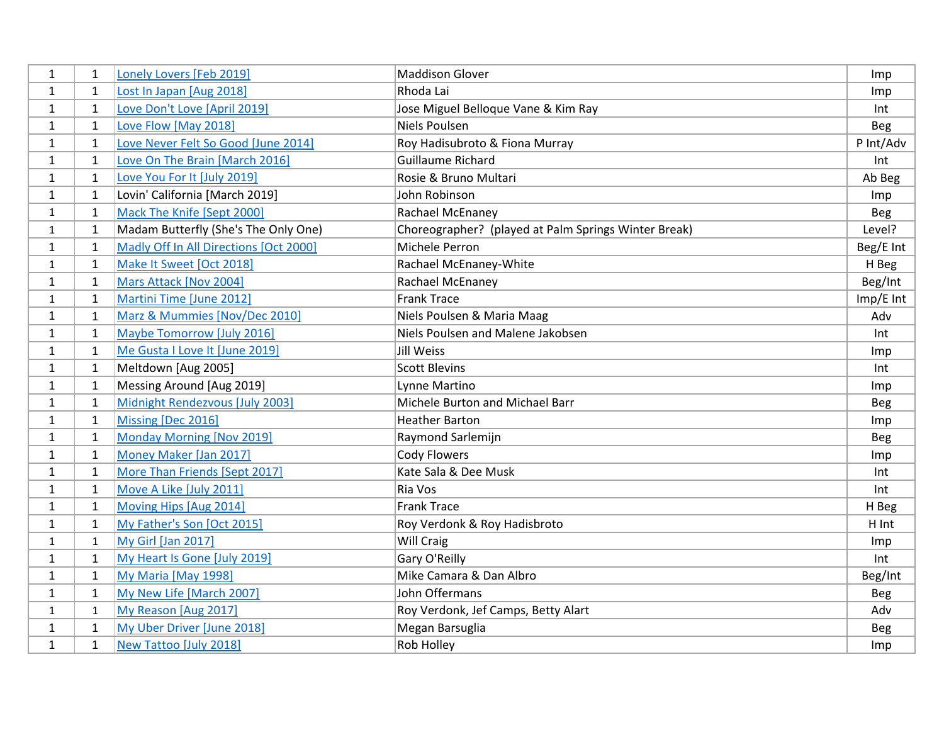| 1            | 1            | Lonely Lovers [Feb 2019]               | <b>Maddison Glover</b>                               | Imp        |
|--------------|--------------|----------------------------------------|------------------------------------------------------|------------|
| 1            | 1            | Lost In Japan [Aug 2018]               | Rhoda Lai                                            | Imp        |
| $\mathbf{1}$ | 1            | Love Don't Love [April 2019]           | Jose Miguel Belloque Vane & Kim Ray                  | Int        |
| $\mathbf{1}$ | $\mathbf{1}$ | Love Flow [May 2018]                   | <b>Niels Poulsen</b>                                 | <b>Beg</b> |
| $\mathbf{1}$ | 1            | Love Never Felt So Good [June 2014]    | Roy Hadisubroto & Fiona Murray                       | P Int/Adv  |
| $\mathbf{1}$ | $\mathbf{1}$ | Love On The Brain [March 2016]         | Guillaume Richard                                    | Int        |
| $\mathbf{1}$ | 1            | Love You For It [July 2019]            | Rosie & Bruno Multari                                | Ab Beg     |
| $\mathbf{1}$ | $\mathbf{1}$ | Lovin' California [March 2019]         | John Robinson                                        | Imp        |
| $\mathbf{1}$ | $\mathbf{1}$ | Mack The Knife [Sept 2000]             | Rachael McEnaney                                     | <b>Beg</b> |
| $\mathbf{1}$ | $\mathbf{1}$ | Madam Butterfly (She's The Only One)   | Choreographer? (played at Palm Springs Winter Break) | Level?     |
| 1            | $\mathbf{1}$ | Madly Off In All Directions [Oct 2000] | Michele Perron                                       | Beg/E Int  |
| $\mathbf{1}$ | $\mathbf{1}$ | Make It Sweet [Oct 2018]               | Rachael McEnaney-White                               | H Beg      |
| $\mathbf{1}$ | $\mathbf{1}$ | Mars Attack [Nov 2004]                 | Rachael McEnaney                                     | Beg/Int    |
| $\mathbf{1}$ | $\mathbf{1}$ | Martini Time [June 2012]               | <b>Frank Trace</b>                                   | Imp/E Int  |
| $\mathbf{1}$ | $\mathbf{1}$ | Marz & Mummies [Nov/Dec 2010]          | Niels Poulsen & Maria Maag                           | Adv        |
| 1            | $\mathbf 1$  | Maybe Tomorrow [July 2016]             | Niels Poulsen and Malene Jakobsen                    | Int        |
| $\mathbf{1}$ | $\mathbf{1}$ | Me Gusta I Love It [June 2019]         | Jill Weiss                                           | Imp        |
| $\mathbf{1}$ | $\mathbf{1}$ | Meltdown [Aug 2005]                    | <b>Scott Blevins</b>                                 | Int        |
| $\mathbf{1}$ | $\mathbf{1}$ | Messing Around [Aug 2019]              | Lynne Martino                                        | Imp        |
| $\mathbf{1}$ | $\mathbf{1}$ | Midnight Rendezvous [July 2003]        | Michele Burton and Michael Barr                      | Beg        |
| $\mathbf{1}$ | $\mathbf{1}$ | Missing [Dec 2016]                     | <b>Heather Barton</b>                                | Imp        |
| $\mathbf{1}$ | $\mathbf{1}$ | Monday Morning [Nov 2019]              | Raymond Sarlemijn                                    | Beg        |
| $\mathbf{1}$ | $\mathbf{1}$ | Money Maker [Jan 2017]                 | <b>Cody Flowers</b>                                  | Imp        |
| $\mathbf{1}$ | $\mathbf{1}$ | More Than Friends [Sept 2017]          | Kate Sala & Dee Musk                                 | Int        |
| $\mathbf{1}$ | $\mathbf{1}$ | Move A Like [July 2011]                | Ria Vos                                              | Int        |
| $\mathbf{1}$ | $\mathbf{1}$ | Moving Hips [Aug 2014]                 | <b>Frank Trace</b>                                   | H Beg      |
| $\mathbf{1}$ | $\mathbf{1}$ | My Father's Son [Oct 2015]             | Roy Verdonk & Roy Hadisbroto                         | H Int      |
| $\mathbf{1}$ | 1            | My Girl [Jan 2017]                     | Will Craig                                           | Imp        |
| $\mathbf{1}$ | $\mathbf{1}$ | My Heart Is Gone [July 2019]           | Gary O'Reilly                                        | Int        |
| $\mathbf{1}$ | $\mathbf{1}$ | My Maria [May 1998]                    | Mike Camara & Dan Albro                              | Beg/Int    |
| 1            | $\mathbf{1}$ | My New Life [March 2007]               | John Offermans                                       | <b>Beg</b> |
| 1            | $\mathbf{1}$ | My Reason [Aug 2017]                   | Roy Verdonk, Jef Camps, Betty Alart                  | Adv        |
| $\mathbf{1}$ | $\mathbf{1}$ | My Uber Driver [June 2018]             | Megan Barsuglia                                      | <b>Beg</b> |
| $\mathbf{1}$ | $\mathbf{1}$ | New Tattoo [July 2018]                 | Rob Holley                                           | Imp        |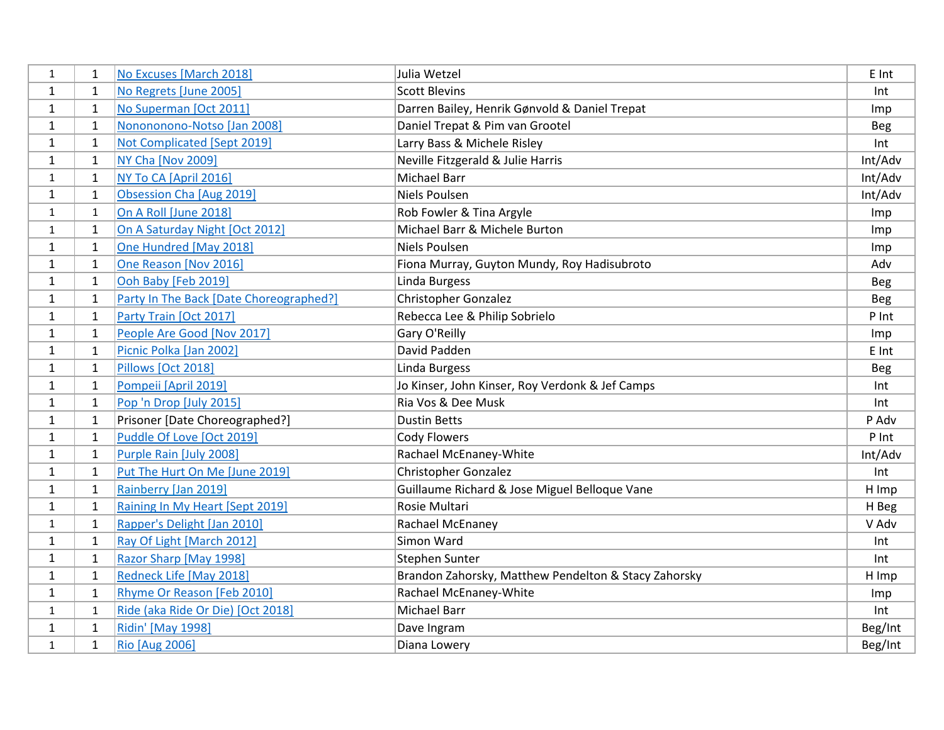| 1            | 1            | No Excuses [March 2018]                 | Julia Wetzel                                         | E Int      |
|--------------|--------------|-----------------------------------------|------------------------------------------------------|------------|
| $\mathbf{1}$ | $\mathbf{1}$ | No Regrets [June 2005]                  | <b>Scott Blevins</b>                                 | Int        |
| $\mathbf{1}$ | $\mathbf{1}$ | No Superman [Oct 2011]                  | Darren Bailey, Henrik Gønvold & Daniel Trepat        | Imp        |
| $\mathbf{1}$ | $\mathbf{1}$ | Nonononono-Notso [Jan 2008]             | Daniel Trepat & Pim van Grootel                      | <b>Beg</b> |
| $\mathbf{1}$ | 1            | Not Complicated [Sept 2019]             | Larry Bass & Michele Risley                          | Int        |
| 1            | $\mathbf{1}$ | <b>NY Cha [Nov 2009]</b>                | Neville Fitzgerald & Julie Harris                    | Int/Adv    |
| $\mathbf{1}$ | 1            | NY To CA [April 2016]                   | Michael Barr                                         | Int/Adv    |
| $\mathbf{1}$ | 1            | Obsession Cha [Aug 2019]                | <b>Niels Poulsen</b>                                 | Int/Adv    |
| $\mathbf{1}$ | $\mathbf{1}$ | On A Roll [June 2018]                   | Rob Fowler & Tina Argyle                             | Imp        |
| $\mathbf{1}$ | $\mathbf{1}$ | On A Saturday Night [Oct 2012]          | Michael Barr & Michele Burton                        | Imp        |
| 1            | $\mathbf{1}$ | One Hundred [May 2018]                  | <b>Niels Poulsen</b>                                 | Imp        |
| $\mathbf{1}$ | $\mathbf{1}$ | One Reason [Nov 2016]                   | Fiona Murray, Guyton Mundy, Roy Hadisubroto          | Adv        |
| $\mathbf{1}$ | $\mathbf{1}$ | Ooh Baby [Feb 2019]                     | Linda Burgess                                        | Beg        |
| $\mathbf{1}$ | $\mathbf{1}$ | Party In The Back [Date Choreographed?] | Christopher Gonzalez                                 | <b>Beg</b> |
| 1            | $\mathbf{1}$ | Party Train [Oct 2017]                  | Rebecca Lee & Philip Sobrielo                        | P Int      |
| 1            | $\mathbf{1}$ | People Are Good [Nov 2017]              | Gary O'Reilly                                        | Imp        |
| $\mathbf{1}$ | $\mathbf{1}$ | Picnic Polka [Jan 2002]                 | David Padden                                         | E Int      |
| $\mathbf{1}$ | $\mathbf{1}$ | Pillows [Oct 2018]                      | Linda Burgess                                        | Beg        |
| $\mathbf{1}$ | $\mathbf{1}$ | Pompeii [April 2019]                    | Jo Kinser, John Kinser, Roy Verdonk & Jef Camps      | Int        |
| 1            | 1            | Pop 'n Drop [July 2015]                 | Ria Vos & Dee Musk                                   | Int        |
| 1            | $\mathbf{1}$ | Prisoner [Date Choreographed?]          | <b>Dustin Betts</b>                                  | P Adv      |
| $\mathbf{1}$ | $\mathbf{1}$ | Puddle Of Love [Oct 2019]               | <b>Cody Flowers</b>                                  | P Int      |
| $\mathbf{1}$ | $\mathbf{1}$ | Purple Rain [July 2008]                 | Rachael McEnaney-White                               | Int/Adv    |
| $\mathbf{1}$ | 1            | Put The Hurt On Me [June 2019]          | Christopher Gonzalez                                 | Int        |
| 1            | 1            | Rainberry [Jan 2019]                    | Guillaume Richard & Jose Miguel Belloque Vane        | H Imp      |
| $\mathbf{1}$ | $\mathbf{1}$ | Raining In My Heart [Sept 2019]         | Rosie Multari                                        | H Beg      |
| $\mathbf{1}$ | $\mathbf{1}$ | Rapper's Delight [Jan 2010]             | Rachael McEnaney                                     | V Adv      |
| $\mathbf{1}$ | 1            | Ray Of Light [March 2012]               | Simon Ward                                           | Int        |
| $\mathbf{1}$ | $\mathbf{1}$ | Razor Sharp [May 1998]                  | <b>Stephen Sunter</b>                                | Int        |
| 1            | $\mathbf{1}$ | Redneck Life [May 2018]                 | Brandon Zahorsky, Matthew Pendelton & Stacy Zahorsky | H Imp      |
| 1            | 1            | Rhyme Or Reason [Feb 2010]              | Rachael McEnaney-White                               | Imp        |
| 1            | $\mathbf{1}$ | Ride (aka Ride Or Die) [Oct 2018]       | <b>Michael Barr</b>                                  | Int        |
| $\mathbf{1}$ | 1            | <b>Ridin' [May 1998]</b>                | Dave Ingram                                          | Beg/Int    |
| $\mathbf{1}$ | $\mathbf{1}$ | <b>Rio [Aug 2006]</b>                   | Diana Lowery                                         | Beg/Int    |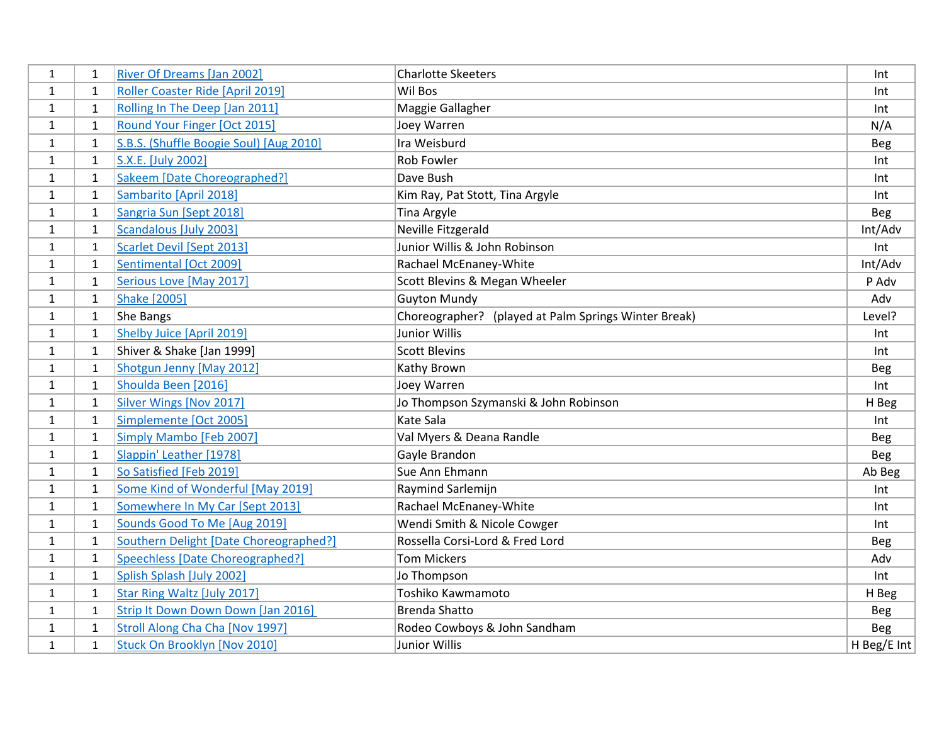| $\mathbf{1}$ | 1            | <b>River Of Dreams [Jan 2002]</b>       | <b>Charlotte Skeeters</b>                            | Int         |
|--------------|--------------|-----------------------------------------|------------------------------------------------------|-------------|
| $\mathbf{1}$ | 1            | Roller Coaster Ride [April 2019]        | Wil Bos                                              | Int         |
| $\mathbf{1}$ | $\mathbf{1}$ | Rolling In The Deep [Jan 2011]          | Maggie Gallagher                                     | Int         |
| $\mathbf{1}$ | $\mathbf{1}$ | Round Your Finger [Oct 2015]            | Joey Warren                                          | N/A         |
| $\mathbf{1}$ | $\mathbf{1}$ | S.B.S. (Shuffle Boogie Soul) [Aug 2010] | Ira Weisburd                                         | <b>Beg</b>  |
| 1            | $\mathbf{1}$ | S.X.E. [July 2002]                      | Rob Fowler                                           | Int         |
| $\mathbf{1}$ | $\mathbf{1}$ | Sakeem [Date Choreographed?]            | Dave Bush                                            | Int         |
| $\mathbf{1}$ | $\mathbf{1}$ | Sambarito [April 2018]                  | Kim Ray, Pat Stott, Tina Argyle                      | Int         |
| $\mathbf{1}$ | $\mathbf{1}$ | Sangria Sun [Sept 2018]                 | <b>Tina Argyle</b>                                   | Beg         |
| $\mathbf{1}$ | $\mathbf{1}$ | <b>Scandalous [July 2003]</b>           | Neville Fitzgerald                                   | Int/Adv     |
| $\mathbf{1}$ | $\mathbf{1}$ | <b>Scarlet Devil [Sept 2013]</b>        | Junior Willis & John Robinson                        | Int         |
| 1            | $\mathbf{1}$ | Sentimental [Oct 2009]                  | Rachael McEnaney-White                               | Int/Adv     |
| $\mathbf{1}$ | $\mathbf{1}$ | Serious Love [May 2017]                 | Scott Blevins & Megan Wheeler                        | P Adv       |
| $\mathbf{1}$ | $\mathbf{1}$ | <b>Shake [2005]</b>                     | <b>Guyton Mundy</b>                                  | Adv         |
| $\mathbf{1}$ | $\mathbf{1}$ | She Bangs                               | Choreographer? (played at Palm Springs Winter Break) | Level?      |
| 1            | $\mathbf{1}$ | Shelby Juice [April 2019]               | <b>Junior Willis</b>                                 | Int         |
| 1            | $\mathbf{1}$ | Shiver & Shake [Jan 1999]               | <b>Scott Blevins</b>                                 | Int         |
| $\mathbf{1}$ | $\mathbf{1}$ | Shotgun Jenny [May 2012]                | Kathy Brown                                          | Beg         |
| $\mathbf{1}$ | $\mathbf{1}$ | Shoulda Been [2016]                     | Joey Warren                                          | Int         |
| $\mathbf{1}$ | $\mathbf{1}$ | Silver Wings [Nov 2017]                 | Jo Thompson Szymanski & John Robinson                | H Beg       |
| $\mathbf{1}$ | $\mathbf{1}$ | Simplemente [Oct 2005]                  | <b>Kate Sala</b>                                     | Int         |
| $\mathbf{1}$ | $\mathbf{1}$ | Simply Mambo [Feb 2007]                 | Val Myers & Deana Randle                             | <b>Beg</b>  |
| $\mathbf{1}$ | 1            | Slappin' Leather [1978]                 | Gayle Brandon                                        | <b>Beg</b>  |
| $\mathbf{1}$ | $\mathbf{1}$ | So Satisfied [Feb 2019]                 | Sue Ann Ehmann                                       | Ab Beg      |
| 1            | 1            | Some Kind of Wonderful [May 2019]       | Raymind Sarlemijn                                    | Int         |
| $\mathbf{1}$ | $\mathbf{1}$ | Somewhere In My Car [Sept 2013]         | Rachael McEnaney-White                               | Int         |
| $\mathbf{1}$ | $\mathbf{1}$ | Sounds Good To Me [Aug 2019]            | Wendi Smith & Nicole Cowger                          | Int         |
| $\mathbf{1}$ | 1            | Southern Delight [Date Choreographed?]  | Rossella Corsi-Lord & Fred Lord                      | <b>Beg</b>  |
| $\mathbf{1}$ | $\mathbf{1}$ | Speechless [Date Choreographed?]        | <b>Tom Mickers</b>                                   | Adv         |
| $\mathbf{1}$ | $\mathbf{1}$ | Splish Splash [July 2002]               | Jo Thompson                                          | Int         |
| 1            | $\mathbf{1}$ | Star Ring Waltz [July 2017]             | Toshiko Kawmamoto                                    | H Beg       |
| $\mathbf{1}$ | $\mathbf{1}$ | Strip It Down Down Down [Jan 2016]      | <b>Brenda Shatto</b>                                 | <b>Beg</b>  |
| $\mathbf{1}$ | $\mathbf{1}$ | Stroll Along Cha Cha [Nov 1997]         | Rodeo Cowboys & John Sandham                         | Beg         |
| $\mathbf{1}$ | $\mathbf{1}$ | Stuck On Brooklyn [Nov 2010]            | <b>Junior Willis</b>                                 | H Beg/E Int |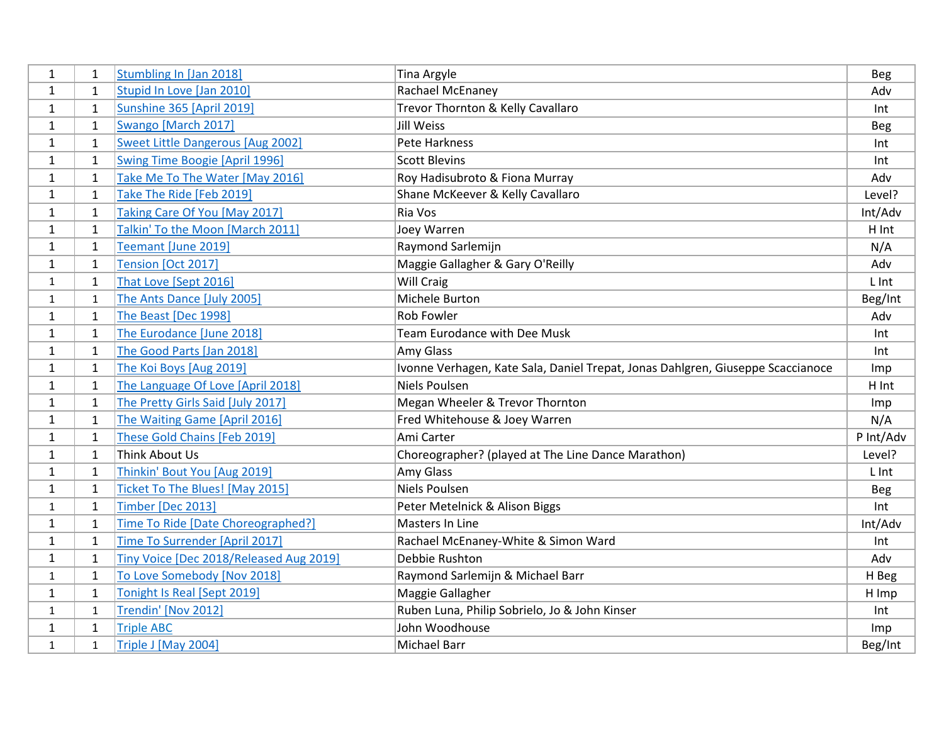| $\mathbf{1}$ | 1            | Stumbling In [Jan 2018]                  | <b>Tina Argyle</b>                                                              | Beg        |
|--------------|--------------|------------------------------------------|---------------------------------------------------------------------------------|------------|
| $\mathbf{1}$ | 1            | Stupid In Love [Jan 2010]                | Rachael McEnaney                                                                | Adv        |
| $\mathbf{1}$ | $\mathbf{1}$ | Sunshine 365 [April 2019]                | Trevor Thornton & Kelly Cavallaro                                               | Int        |
| $\mathbf{1}$ | $\mathbf{1}$ | Swango [March 2017]                      | <b>Jill Weiss</b>                                                               | <b>Beg</b> |
| $\mathbf{1}$ | $\mathbf{1}$ | <b>Sweet Little Dangerous [Aug 2002]</b> | Pete Harkness                                                                   | Int        |
| 1            | $\mathbf{1}$ | <b>Swing Time Boogie [April 1996]</b>    | <b>Scott Blevins</b>                                                            | Int        |
| 1            | $\mathbf{1}$ | Take Me To The Water [May 2016]          | Roy Hadisubroto & Fiona Murray                                                  | Adv        |
| $\mathbf{1}$ | 1            | Take The Ride [Feb 2019]                 | Shane McKeever & Kelly Cavallaro                                                | Level?     |
| $\mathbf{1}$ | $\mathbf{1}$ | Taking Care Of You [May 2017]            | Ria Vos                                                                         | Int/Adv    |
| 1            | $\mathbf{1}$ | Talkin' To the Moon [March 2011]         | Joey Warren                                                                     | H Int      |
| 1            | $\mathbf{1}$ | Teemant [June 2019]                      | Raymond Sarlemijn                                                               | N/A        |
| $\mathbf{1}$ | 1            | Tension [Oct 2017]                       | Maggie Gallagher & Gary O'Reilly                                                | Adv        |
| $\mathbf{1}$ | 1            | That Love [Sept 2016]                    | Will Craig                                                                      | L Int      |
| $\mathbf{1}$ | 1            | The Ants Dance [July 2005]               | Michele Burton                                                                  | Beg/Int    |
| $\mathbf{1}$ | $\mathbf{1}$ | The Beast [Dec 1998]                     | Rob Fowler                                                                      | Adv        |
| 1            | 1            | The Eurodance [June 2018]                | <b>Team Eurodance with Dee Musk</b>                                             | Int        |
| 1            | $\mathbf{1}$ | The Good Parts [Jan 2018]                | Amy Glass                                                                       | Int        |
| $\mathbf{1}$ | $\mathbf{1}$ | The Koi Boys [Aug 2019]                  | Ivonne Verhagen, Kate Sala, Daniel Trepat, Jonas Dahlgren, Giuseppe Scaccianoce | Imp        |
| $\mathbf{1}$ | $\mathbf{1}$ | The Language Of Love [April 2018]        | <b>Niels Poulsen</b>                                                            | H Int      |
| $\mathbf{1}$ | $\mathbf{1}$ | The Pretty Girls Said [July 2017]        | Megan Wheeler & Trevor Thornton                                                 | Imp        |
| 1            | $\mathbf{1}$ | The Waiting Game [April 2016]            | Fred Whitehouse & Joey Warren                                                   | N/A        |
| $\mathbf{1}$ | $\mathbf{1}$ | These Gold Chains [Feb 2019]             | Ami Carter                                                                      | P Int/Adv  |
| $\mathbf{1}$ | 1            | Think About Us                           | Choreographer? (played at The Line Dance Marathon)                              | Level?     |
| $\mathbf{1}$ | $\mathbf{1}$ | Thinkin' Bout You [Aug 2019]             | Amy Glass                                                                       | L Int      |
| 1            | 1            | Ticket To The Blues! [May 2015]          | Niels Poulsen                                                                   | <b>Beg</b> |
| $\mathbf{1}$ | $\mathbf{1}$ | Timber [Dec 2013]                        | Peter Metelnick & Alison Biggs                                                  | Int        |
| 1            | $\mathbf{1}$ | Time To Ride [Date Choreographed?]       | Masters In Line                                                                 | Int/Adv    |
| $\mathbf{1}$ | 1            | Time To Surrender [April 2017]           | Rachael McEnaney-White & Simon Ward                                             | Int        |
| $\mathbf{1}$ | $\mathbf{1}$ | Tiny Voice [Dec 2018/Released Aug 2019]  | Debbie Rushton                                                                  | Adv        |
| $\mathbf{1}$ | $\mathbf{1}$ | To Love Somebody [Nov 2018]              | Raymond Sarlemijn & Michael Barr                                                | H Beg      |
| $\mathbf{1}$ | 1            | Tonight Is Real [Sept 2019]              | Maggie Gallagher                                                                | H Imp      |
| $\mathbf{1}$ | $\mathbf{1}$ | Trendin' [Nov 2012]                      | Ruben Luna, Philip Sobrielo, Jo & John Kinser                                   | Int        |
| 1            | $\mathbf{1}$ | <b>Triple ABC</b>                        | John Woodhouse                                                                  | Imp        |
| $\mathbf{1}$ | $\mathbf{1}$ | Triple J [May 2004]                      | Michael Barr                                                                    | Beg/Int    |